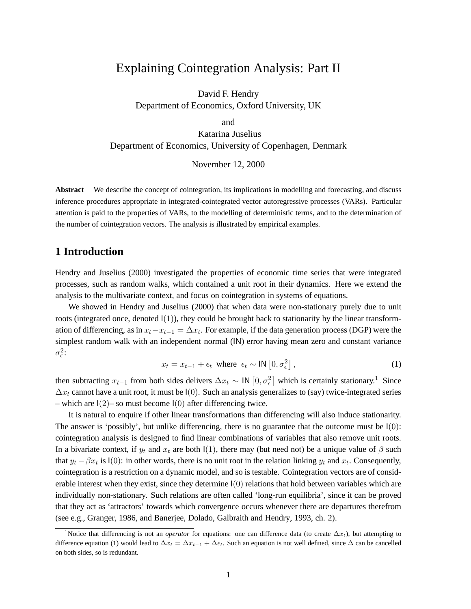# Explaining Cointegration Analysis: Part II

David F. Hendry Department of Economics, Oxford University, UK

and

Katarina Juselius Department of Economics, University of Copenhagen, Denmark

November 12, 2000

**Abstract** We describe the concept of cointegration, its implications in modelling and forecasting, and discuss inference procedures appropriate in integrated-cointegrated vector autoregressive processes (VARs). Particular attention is paid to the properties of VARs, to the modelling of deterministic terms, and to the determination of the number of cointegration vectors. The analysis is illustrated by empirical examples.

# **1 Introduction**

Hendry and Juselius (2000) investigated the properties of economic time series that were integrated processes, such as random walks, which contained a unit root in their dynamics. Here we extend the analysis to the multivariate context, and focus on cointegration in systems of equations.

We showed in Hendry and Juselius (2000) that when data were non-stationary purely due to unit roots (integrated once, denoted  $I(1)$ ), they could be brought back to stationarity by the linear transformation of differencing, as in  $x_t - x_{t-1} = \Delta x_t$ . For example, if the data generation process (DGP) were the simplest random walk with an independent normal (IN) error having mean zero and constant variance  $\sigma_{\epsilon}^2$ :

$$
x_t = x_{t-1} + \epsilon_t \text{ where } \epsilon_t \sim \text{IN} \left[0, \sigma_{\epsilon}^2\right],\tag{1}
$$

then subtracting  $x_{t-1}$  from both sides delivers  $\Delta x_t \sim \mathsf{IN} [0, \sigma_{\epsilon}^2]$  which is certainly stationary.<sup>1</sup> Since  $\Delta x_t$  cannot have a unit root, it must be I(0). Such an analysis generalizes to (say) twice-integrated series – which are  $I(2)$ – so must become  $I(0)$  after differencing twice.

It is natural to enquire if other linear transformations than differencing will also induce stationarity. The answer is 'possibly', but unlike differencing, there is no guarantee that the outcome must be  $I(0)$ : cointegration analysis is designed to find linear combinations of variables that also remove unit roots. In a bivariate context, if  $y_t$  and  $x_t$  are both  $I(1)$ , there may (but need not) be a unique value of  $\beta$  such that  $y_t - \beta x_t$  is  $I(0)$ : in other words, there is no unit root in the relation linking  $y_t$  and  $x_t$ . Consequently, cointegration is a restriction on a dynamic model, and so is testable. Cointegration vectors are of considerable interest when they exist, since they determine  $I(0)$  relations that hold between variables which are individually non-stationary. Such relations are often called 'long-run equilibria', since it can be proved that they act as 'attractors' towards which convergence occurs whenever there are departures therefrom (see e.g., Granger, 1986, and Banerjee, Dolado, Galbraith and Hendry, 1993, ch. 2).

<sup>&</sup>lt;sup>1</sup>Notice that differencing is not an *operator* for equations: one can difference data (to create  $\Delta x_t$ ), but attempting to difference equation (1) would lead to  $\Delta x_t = \Delta x_{t-1} + \Delta \epsilon_t$ . Such an equation is not well defined, since  $\Delta$  can be cancelled on both sides, so is redundant.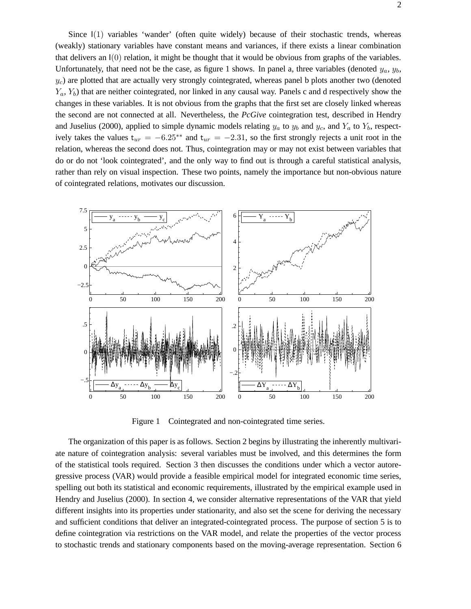Since I(1) variables 'wander' (often quite widely) because of their stochastic trends, whereas (weakly) stationary variables have constant means and variances, if there exists a linear combination that delivers an  $I(0)$  relation, it might be thought that it would be obvious from graphs of the variables. Unfortunately, that need not be the case, as figure 1 shows. In panel a, three variables (denoted  $y_a$ ,  $y_b$ ,  $y_c$ ) are plotted that are actually very strongly cointegrated, whereas panel b plots another two (denoted  $Y_a, Y_b$ ) that are neither cointegrated, nor linked in any causal way. Panels c and d respectively show the changes in these variables. It is not obvious from the graphs that the first set are closely linked whereas the second are not connected at all. Nevertheless, the *PcGive* cointegration test, described in Hendry and Juselius (2000), applied to simple dynamic models relating  $y_a$  to  $y_b$  and  $y_c$ , and  $Y_a$  to  $Y_b$ , respectively takes the values  $t_{ur} = -6.25^{**}$  and  $t_{ur} = -2.31$ , so the first strongly rejects a unit root in the relation, whereas the second does not. Thus, cointegration may or may not exist between variables that do or do not 'look cointegrated', and the only way to find out is through a careful statistical analysis, rather than rely on visual inspection. These two points, namely the importance but non-obvious nature of cointegrated relations, motivates our discussion.



Figure 1 Cointegrated and non-cointegrated time series.

The organization of this paper is as follows. Section 2 begins by illustrating the inherently multivariate nature of cointegration analysis: several variables must be involved, and this determines the form of the statistical tools required. Section 3 then discusses the conditions under which a vector autoregressive process (VAR) would provide a feasible empirical model for integrated economic time series, spelling out both its statistical and economic requirements, illustrated by the empirical example used in Hendry and Juselius (2000). In section 4, we consider alternative representations of the VAR that yield different insights into its properties under stationarity, and also set the scene for deriving the necessary and sufficient conditions that deliver an integrated-cointegrated process. The purpose of section 5 is to define cointegration via restrictions on the VAR model, and relate the properties of the vector process to stochastic trends and stationary components based on the moving-average representation. Section 6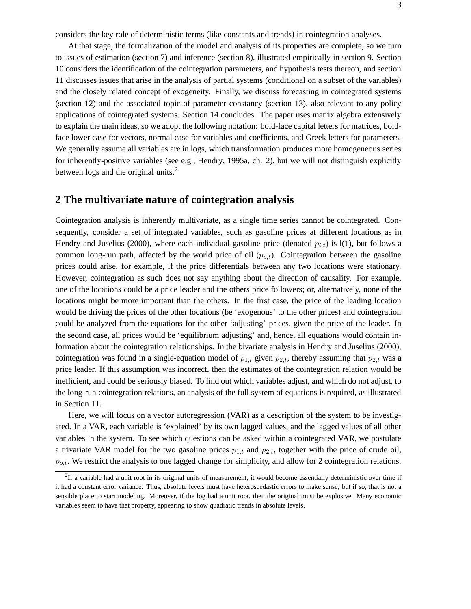considers the key role of deterministic terms (like constants and trends) in cointegration analyses.

At that stage, the formalization of the model and analysis of its properties are complete, so we turn to issues of estimation (section 7) and inference (section 8), illustrated empirically in section 9. Section 10 considers the identification of the cointegration parameters, and hypothesis tests thereon, and section 11 discusses issues that arise in the analysis of partial systems (conditional on a subset of the variables) and the closely related concept of exogeneity. Finally, we discuss forecasting in cointegrated systems (section 12) and the associated topic of parameter constancy (section 13), also relevant to any policy applications of cointegrated systems. Section 14 concludes. The paper uses matrix algebra extensively to explain the main ideas, so we adopt the following notation: bold-face capital letters for matrices, boldface lower case for vectors, normal case for variables and coefficients, and Greek letters for parameters. We generally assume all variables are in logs, which transformation produces more homogeneous series for inherently-positive variables (see e.g., Hendry, 1995a, ch. 2), but we will not distinguish explicitly between logs and the original units.<sup>2</sup>

### **2 The multivariate nature of cointegration analysis**

Cointegration analysis is inherently multivariate, as a single time series cannot be cointegrated. Consequently, consider a set of integrated variables, such as gasoline prices at different locations as in Hendry and Juselius (2000), where each individual gasoline price (denoted  $p_{i,t}$ ) is  $I(1)$ , but follows a common long-run path, affected by the world price of oil  $(p_{o,t})$ . Cointegration between the gasoline prices could arise, for example, if the price differentials between any two locations were stationary. However, cointegration as such does not say anything about the direction of causality. For example, one of the locations could be a price leader and the others price followers; or, alternatively, none of the locations might be more important than the others. In the first case, the price of the leading location would be driving the prices of the other locations (be 'exogenous' to the other prices) and cointegration could be analyzed from the equations for the other 'adjusting' prices, given the price of the leader. In the second case, all prices would be 'equilibrium adjusting' and, hence, all equations would contain information about the cointegration relationships. In the bivariate analysis in Hendry and Juselius (2000), cointegration was found in a single-equation model of  $p_{1,t}$  given  $p_{2,t}$ , thereby assuming that  $p_{2,t}$  was a price leader. If this assumption was incorrect, then the estimates of the cointegration relation would be inefficient, and could be seriously biased. To find out which variables adjust, and which do not adjust, to the long-run cointegration relations, an analysis of the full system of equations is required, as illustrated in Section 11.

Here, we will focus on a vector autoregression (VAR) as a description of the system to be investigated. In a VAR, each variable is 'explained' by its own lagged values, and the lagged values of all other variables in the system. To see which questions can be asked within a cointegrated VAR, we postulate a trivariate VAR model for the two gasoline prices  $p_{1,t}$  and  $p_{2,t}$ , together with the price of crude oil,  $p_{o,t}$ . We restrict the analysis to one lagged change for simplicity, and allow for 2 cointegration relations.

 ${}^{2}$ If a variable had a unit root in its original units of measurement, it would become essentially deterministic over time if it had a constant error variance. Thus, absolute levels must have heteroscedastic errors to make sense; but if so, that is not a sensible place to start modeling. Moreover, if the log had a unit root, then the original must be explosive. Many economic variables seem to have that property, appearing to show quadratic trends in absolute levels.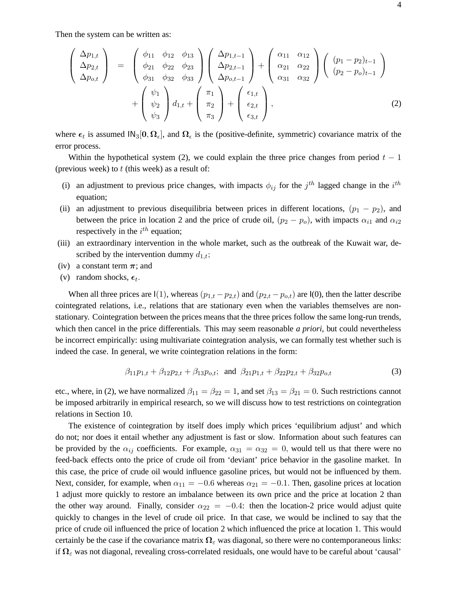Then the system can be written as:

$$
\begin{pmatrix}\n\Delta p_{1,t} \\
\Delta p_{2,t} \\
\Delta p_{o,t}\n\end{pmatrix} = \begin{pmatrix}\n\phi_{11} & \phi_{12} & \phi_{13} \\
\phi_{21} & \phi_{22} & \phi_{23} \\
\phi_{31} & \phi_{32} & \phi_{33}\n\end{pmatrix} \begin{pmatrix}\n\Delta p_{1,t-1} \\
\Delta p_{2,t-1} \\
\Delta p_{o,t-1}\n\end{pmatrix} + \begin{pmatrix}\n\alpha_{11} & \alpha_{12} \\
\alpha_{21} & \alpha_{22} \\
\alpha_{31} & \alpha_{32}\n\end{pmatrix} \begin{pmatrix}\n(p_1 - p_2)_{t-1} \\
(p_2 - p_o)_{t-1}\n\end{pmatrix} + \begin{pmatrix}\n\psi_1 \\
\psi_2 \\
\psi_3\n\end{pmatrix} d_{1,t} + \begin{pmatrix}\n\pi_1 \\
\pi_2 \\
\pi_3\n\end{pmatrix} + \begin{pmatrix}\n\epsilon_{1,t} \\
\epsilon_{2,t} \\
\epsilon_{3,t}\n\end{pmatrix},
$$
\n(2)

where  $\epsilon_t$  is assumed  $\text{IN}_3[0, \Omega_{\epsilon}]$ , and  $\Omega_{\epsilon}$  is the (positive-definite, symmetric) covariance matrix of the error process.

Within the hypothetical system (2), we could explain the three price changes from period  $t - 1$ (previous week) to  $t$  (this week) as a result of:

- (i) an adjustment to previous price changes, with impacts  $\phi_{ij}$  for the j<sup>th</sup> lagged change in the i<sup>th</sup> equation;
- (ii) an adjustment to previous disequilibria between prices in different locations,  $(p_1 p_2)$ , and between the price in location 2 and the price of crude oil,  $(p_2 - p_0)$ , with impacts  $\alpha_{i1}$  and  $\alpha_{i2}$ respectively in the  $i^{th}$  equation;
- (iii) an extraordinary intervention in the whole market, such as the outbreak of the Kuwait war, described by the intervention dummy  $d_{1,t}$ ;
- (iv) a constant term  $\pi$ ; and
- (v) random shocks,  $\epsilon_t$ .

When all three prices are I(1), whereas  $(p_{1,t} - p_{2,t})$  and  $(p_{2,t} - p_{o,t})$  are I(0), then the latter describe cointegrated relations, i.e., relations that are stationary even when the variables themselves are nonstationary. Cointegration between the prices means that the three prices follow the same long-run trends, which then cancel in the price differentials. This may seem reasonable *a priori*, but could nevertheless be incorrect empirically: using multivariate cointegration analysis, we can formally test whether such is indeed the case. In general, we write cointegration relations in the form:

$$
\beta_{11}p_{1,t} + \beta_{12}p_{2,t} + \beta_{13}p_{0,t}; \text{ and } \beta_{21}p_{1,t} + \beta_{22}p_{2,t} + \beta_{32}p_{0,t} \tag{3}
$$

etc., where, in (2), we have normalized  $\beta_{11} = \beta_{22} = 1$ , and set  $\beta_{13} = \beta_{21} = 0$ . Such restrictions cannot be imposed arbitrarily in empirical research, so we will discuss how to test restrictions on cointegration relations in Section 10.

The existence of cointegration by itself does imply which prices 'equilibrium adjust' and which do not; nor does it entail whether any adjustment is fast or slow. Information about such features can be provided by the  $\alpha_{ij}$  coefficients. For example,  $\alpha_{31} = \alpha_{32} = 0$ , would tell us that there were no feed-back effects onto the price of crude oil from 'deviant' price behavior in the gasoline market. In this case, the price of crude oil would influence gasoline prices, but would not be influenced by them. Next, consider, for example, when  $\alpha_{11} = -0.6$  whereas  $\alpha_{21} = -0.1$ . Then, gasoline prices at location 1 adjust more quickly to restore an imbalance between its own price and the price at location 2 than the other way around. Finally, consider  $\alpha_{22} = -0.4$ : then the location-2 price would adjust quite quickly to changes in the level of crude oil price. In that case, we would be inclined to say that the price of crude oil influenced the price of location 2 which influenced the price at location 1. This would certainly be the case if the covariance matrix  $\Omega_{\varepsilon}$  was diagonal, so there were no contemporaneous links: if **Ω**<sup>ε</sup> was not diagonal, revealing cross-correlated residuals, one would have to be careful about 'causal'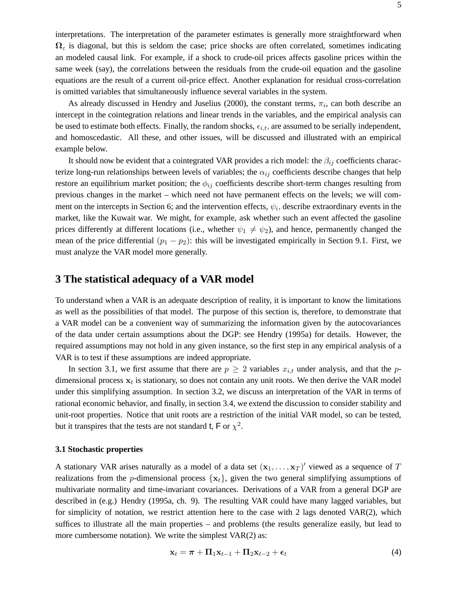interpretations. The interpretation of the parameter estimates is generally more straightforward when  $\Omega$ <sub>ε</sub> is diagonal, but this is seldom the case; price shocks are often correlated, sometimes indicating an modeled causal link. For example, if a shock to crude-oil prices affects gasoline prices within the same week (say), the correlations between the residuals from the crude-oil equation and the gasoline equations are the result of a current oil-price effect. Another explanation for residual cross-correlation is omitted variables that simultaneously influence several variables in the system.

As already discussed in Hendry and Juselius (2000), the constant terms,  $\pi_i$ , can both describe an intercept in the cointegration relations and linear trends in the variables, and the empirical analysis can be used to estimate both effects. Finally, the random shocks,  $\epsilon_{i,t}$ , are assumed to be serially independent, and homoscedastic. All these, and other issues, will be discussed and illustrated with an empirical example below.

It should now be evident that a cointegrated VAR provides a rich model: the  $\beta_{ij}$  coefficients characterize long-run relationships between levels of variables; the  $\alpha_{ij}$  coefficients describe changes that help restore an equilibrium market position; the  $\phi_{ij}$  coefficients describe short-term changes resulting from previous changes in the market – which need not have permanent effects on the levels; we will comment on the intercepts in Section 6; and the intervention effects,  $\psi_i$ , describe extraordinary events in the market, like the Kuwait war. We might, for example, ask whether such an event affected the gasoline prices differently at different locations (i.e., whether  $\psi_1 \neq \psi_2$ ), and hence, permanently changed the mean of the price differential  $(p_1 - p_2)$ : this will be investigated empirically in Section 9.1. First, we must analyze the VAR model more generally.

### **3 The statistical adequacy of a VAR model**

To understand when a VAR is an adequate description of reality, it is important to know the limitations as well as the possibilities of that model. The purpose of this section is, therefore, to demonstrate that a VAR model can be a convenient way of summarizing the information given by the autocovariances of the data under certain assumptions about the DGP: see Hendry (1995a) for details. However, the required assumptions may not hold in any given instance, so the first step in any empirical analysis of a VAR is to test if these assumptions are indeed appropriate.

In section 3.1, we first assume that there are  $p \geq 2$  variables  $x_{i,t}$  under analysis, and that the pdimensional process  $x_t$  is stationary, so does not contain any unit roots. We then derive the VAR model under this simplifying assumption. In section 3.2, we discuss an interpretation of the VAR in terms of rational economic behavior, and finally, in section 3.4, we extend the discussion to consider stability and unit-root properties. Notice that unit roots are a restriction of the initial VAR model, so can be tested, but it transpires that the tests are not standard t, F or  $\chi^2$ .

### **3.1 Stochastic properties**

A stationary VAR arises naturally as a model of a data set  $(\mathbf{x}_1, \dots, \mathbf{x}_T)'$  viewed as a sequence of T realizations from the *p*-dimensional process  $\{x_t\}$ , given the two general simplifying assumptions of multivariate normality and time-invariant covariances. Derivations of a VAR from a general DGP are described in (e.g.) Hendry (1995a, ch. 9). The resulting VAR could have many lagged variables, but for simplicity of notation, we restrict attention here to the case with 2 lags denoted  $VAR(2)$ , which suffices to illustrate all the main properties – and problems (the results generalize easily, but lead to more cumbersome notation). We write the simplest VAR(2) as:

$$
\mathbf{x}_t = \boldsymbol{\pi} + \boldsymbol{\Pi}_1 \mathbf{x}_{t-1} + \boldsymbol{\Pi}_2 \mathbf{x}_{t-2} + \boldsymbol{\epsilon}_t
$$
\n(4)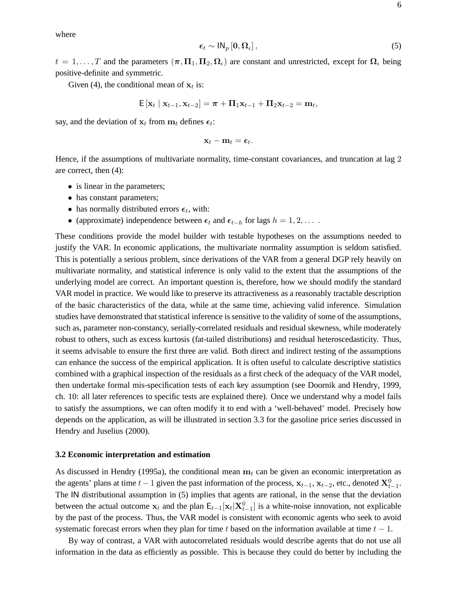where

$$
\epsilon_t \sim \mathsf{IN}_p\left[0, \Omega_{\epsilon}\right],\tag{5}
$$

 $t = 1, \ldots, T$  and the parameters  $(\pi, \Pi_1, \Pi_2, \Omega_\epsilon)$  are constant and unrestricted, except for  $\Omega_\epsilon$  being positive-definite and symmetric.

Given (4), the conditional mean of  $x_t$  is:

$$
\mathsf{E}\left[\mathbf{x}_t\mid \mathbf{x}_{t-1},\mathbf{x}_{t-2}\right] = \boldsymbol{\pi} + \boldsymbol{\Pi}_1 \mathbf{x}_{t-1} + \boldsymbol{\Pi}_2 \mathbf{x}_{t-2} = \mathbf{m}_t,
$$

say, and the deviation of  $x_t$  from  $m_t$  defines  $\epsilon_t$ :

$$
\mathbf{x}_t - \mathbf{m}_t = \boldsymbol{\epsilon}_t.
$$

Hence, if the assumptions of multivariate normality, time-constant covariances, and truncation at lag 2 are correct, then (4):

- is linear in the parameters;
- has constant parameters;
- has normally distributed errors  $\epsilon_t$ , with:
- (approximate) independence between  $\epsilon_t$  and  $\epsilon_{t-h}$  for lags  $h = 1, 2, \ldots$ .

These conditions provide the model builder with testable hypotheses on the assumptions needed to justify the VAR. In economic applications, the multivariate normality assumption is seldom satisfied. This is potentially a serious problem, since derivations of the VAR from a general DGP rely heavily on multivariate normality, and statistical inference is only valid to the extent that the assumptions of the underlying model are correct. An important question is, therefore, how we should modify the standard VAR model in practice. We would like to preserve its attractiveness as a reasonably tractable description of the basic characteristics of the data, while at the same time, achieving valid inference. Simulation studies have demonstrated that statistical inference is sensitive to the validity of some of the assumptions, such as, parameter non-constancy, serially-correlated residuals and residual skewness, while moderately robust to others, such as excess kurtosis (fat-tailed distributions) and residual heteroscedasticity. Thus, it seems advisable to ensure the first three are valid. Both direct and indirect testing of the assumptions can enhance the success of the empirical application. It is often useful to calculate descriptive statistics combined with a graphical inspection of the residuals as a first check of the adequacy of the VAR model, then undertake formal mis-specification tests of each key assumption (see Doornik and Hendry, 1999, ch. 10: all later references to specific tests are explained there). Once we understand why a model fails to satisfy the assumptions, we can often modify it to end with a 'well-behaved' model. Precisely how depends on the application, as will be illustrated in section 3.3 for the gasoline price series discussed in Hendry and Juselius (2000).

#### **3.2 Economic interpretation and estimation**

As discussed in Hendry (1995a), the conditional mean  $\mathbf{m}_t$  can be given an economic interpretation as the agents' plans at time  $t - 1$  given the past information of the process,  $\mathbf{x}_{t-1}$ ,  $\mathbf{x}_{t-2}$ , etc., denoted  $\mathbf{X}_{t-1}^0$ . The IN distributional assumption in (5) implies that agents are rational, in the sense that the deviation between the actual outcome  $\mathbf{x}_t$  and the plan  $\mathsf{E}_{t-1}[\mathbf{x}_t|\mathbf{X}_{t-1}^0]$  is a white-noise innovation, not explicable by the past of the process. Thus, the VAR model is consistent with economic agents who seek to avoid systematic forecast errors when they plan for time t based on the information available at time  $t - 1$ .

By way of contrast, a VAR with autocorrelated residuals would describe agents that do not use all information in the data as efficiently as possible. This is because they could do better by including the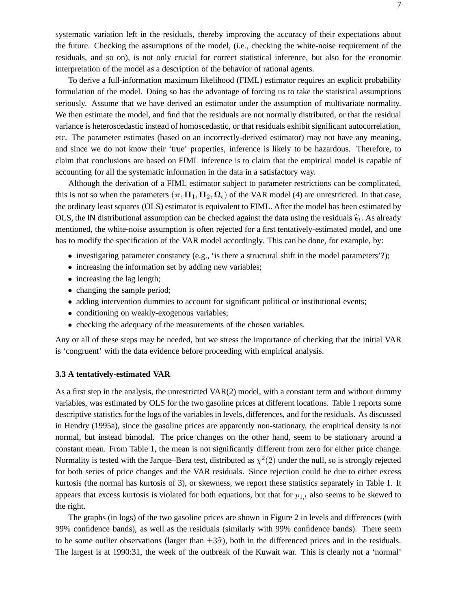systematic variation left in the residuals, thereby improving the accuracy of their expectations about the future. Checking the assumptions of the model, (i.e., checking the white-noise requirement of the residuals, and so on), is not only crucial for correct statistical inference, but also for the economic interpretation of the model as a description of the behavior of rational agents.

To derive a full-information maximum likelihood (FIML) estimator requires an explicit probability formulation of the model. Doing so has the advantage of forcing us to take the statistical assumptions seriously. Assume that we have derived an estimator under the assumption of multivariate normality. We then estimate the model, and find that the residuals are not normally distributed, or that the residual variance is heteroscedastic instead of homoscedastic, or that residuals exhibit significant autocorrelation, etc. The parameter estimates (based on an incorrectly-derived estimator) may not have any meaning, and since we do not know their 'true' properties, inference is likely to be hazardous. Therefore, to claim that conclusions are based on FIML inference is to claim that the empirical model is capable of accounting for all the systematic information in the data in a satisfactory way.

Although the derivation of a FIML estimator subject to parameter restrictions can be complicated, this is not so when the parameters  $(\pi, \Pi_1, \Pi_2, \Omega_\epsilon)$  of the VAR model (4) are unrestricted. In that case, the ordinary least squares (OLS) estimator is equivalent to FIML. After the model has been estimated by OLS, the IN distributional assumption can be checked against the data using the residuals  $\hat{\epsilon}_t$ . As already mentioned, the white-noise assumption is often rejected for a first tentatively-estimated model, and one has to modify the specification of the VAR model accordingly. This can be done, for example, by:

- investigating parameter constancy (e.g., 'is there a structural shift in the model parameters'?);
- increasing the information set by adding new variables;
- increasing the lag length;
- changing the sample period;
- adding intervention dummies to account for significant political or institutional events;
- conditioning on weakly-exogenous variables;
- checking the adequacy of the measurements of the chosen variables.

Any or all of these steps may be needed, but we stress the importance of checking that the initial VAR is 'congruent' with the data evidence before proceeding with empirical analysis.

### **3.3 A tentatively-estimated VAR**

As a first step in the analysis, the unrestricted VAR(2) model, with a constant term and without dummy variables, was estimated by OLS for the two gasoline prices at different locations. Table 1 reports some descriptive statistics for the logs of the variables in levels, differences, and for the residuals. As discussed in Hendry (1995a), since the gasoline prices are apparently non-stationary, the empirical density is not normal, but instead bimodal. The price changes on the other hand, seem to be stationary around a constant mean. From Table 1, the mean is not significantly different from zero for either price change. Normality is tested with the Jarque–Bera test, distributed as  $\chi^2(2)$  under the null, so is strongly rejected for both series of price changes and the VAR residuals. Since rejection could be due to either excess kurtosis (the normal has kurtosis of 3), or skewness, we report these statistics separately in Table 1. It appears that excess kurtosis is violated for both equations, but that for  $p_{1,t}$  also seems to be skewed to the right.

The graphs (in logs) of the two gasoline prices are shown in Figure 2 in levels and differences (with 99% confidence bands), as well as the residuals (similarly with 99% confidence bands). There seem to be some outlier observations (larger than  $\pm 3\hat{\sigma}$ ), both in the differenced prices and in the residuals. The largest is at 1990:31, the week of the outbreak of the Kuwait war. This is clearly not a 'normal'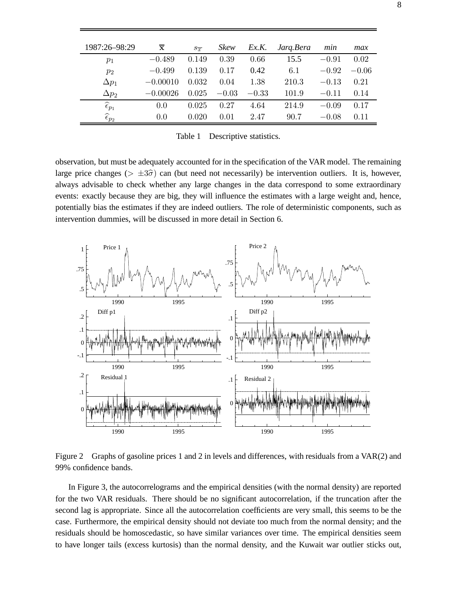| 1987:26-98:29              | $\overline{\mathbf{x}}$ | $S_{T}$ | Skew    | Ex.K.   | Jarg.Bera | min     | max     |
|----------------------------|-------------------------|---------|---------|---------|-----------|---------|---------|
| $p_1$                      | $-0.489$                | 0.149   | 0.39    | 0.66    | 15.5      | $-0.91$ | 0.02    |
| $p_2$                      | $-0.499$                | 0.139   | 0.17    | 0.42    | 6.1       | $-0.92$ | $-0.06$ |
| $\Delta p_1$               | $-0.00010$              | 0.032   | 0.04    | 1.38    | 210.3     | $-0.13$ | 0.21    |
| $\Delta p_2$               | $-0.00026$              | 0.025   | $-0.03$ | $-0.33$ | 101.9     | $-0.11$ | 0.14    |
| $\widehat{\epsilon}_{p_1}$ | 0.0                     | 0.025   | 0.27    | 4.64    | 214.9     | $-0.09$ | 0.17    |
| $\widehat{\epsilon}_{p_2}$ | 0.0                     | 0.020   | 0.01    | 2.47    | 90.7      | $-0.08$ | 0.11    |
|                            |                         |         |         |         |           |         |         |

Table 1 Descriptive statistics.

observation, but must be adequately accounted for in the specification of the VAR model. The remaining large price changes ( $> \pm 3\hat{\sigma}$ ) can (but need not necessarily) be intervention outliers. It is, however, always advisable to check whether any large changes in the data correspond to some extraordinary events: exactly because they are big, they will influence the estimates with a large weight and, hence, potentially bias the estimates if they are indeed outliers. The role of deterministic components, such as intervention dummies, will be discussed in more detail in Section 6.



Figure 2 Graphs of gasoline prices 1 and 2 in levels and differences, with residuals from a VAR(2) and 99% confidence bands.

In Figure 3, the autocorrelograms and the empirical densities (with the normal density) are reported for the two VAR residuals. There should be no significant autocorrelation, if the truncation after the second lag is appropriate. Since all the autocorrelation coefficients are very small, this seems to be the case. Furthermore, the empirical density should not deviate too much from the normal density; and the residuals should be homoscedastic, so have similar variances over time. The empirical densities seem to have longer tails (excess kurtosis) than the normal density, and the Kuwait war outlier sticks out,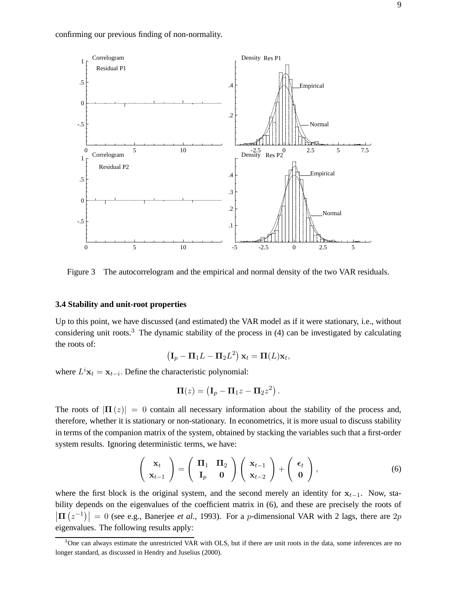

Figure 3 The autocorrelogram and the empirical and normal density of the two VAR residuals.

### **3.4 Stability and unit-root properties**

Up to this point, we have discussed (and estimated) the VAR model as if it were stationary, i.e., without considering unit roots.<sup>3</sup> The dynamic stability of the process in  $(4)$  can be investigated by calculating the roots of:

$$
\left(\mathbf{I}_p - \mathbf{\Pi}_1 L - \mathbf{\Pi}_2 L^2\right) \mathbf{x}_t = \mathbf{\Pi}(L) \mathbf{x}_t,
$$

where  $L^i$ **x**<sub>t</sub> = **x**<sub>t−i</sub>. Define the characteristic polynomial:

$$
\mathbf{\Pi}(z) = \left(\mathbf{I}_p - \mathbf{\Pi}_1 z - \mathbf{\Pi}_2 z^2\right).
$$

The roots of  $|\mathbf{\Pi}(z)| = 0$  contain all necessary information about the stability of the process and, therefore, whether it is stationary or non-stationary. In econometrics, it is more usual to discuss stability in terms of the companion matrix of the system, obtained by stacking the variables such that a first-order system results. Ignoring deterministic terms, we have:

$$
\begin{pmatrix} \mathbf{x}_t \\ \mathbf{x}_{t-1} \end{pmatrix} = \begin{pmatrix} \mathbf{\Pi}_1 & \mathbf{\Pi}_2 \\ \mathbf{I}_p & \mathbf{0} \end{pmatrix} \begin{pmatrix} \mathbf{x}_{t-1} \\ \mathbf{x}_{t-2} \end{pmatrix} + \begin{pmatrix} \epsilon_t \\ \mathbf{0} \end{pmatrix}, \tag{6}
$$

where the first block is the original system, and the second merely an identity for  $\mathbf{x}_{t-1}$ . Now, stability depends on the eigenvalues of the coefficient matrix in (6), and these are precisely the roots of  $|\mathbf{\Pi}(z^{-1})| = 0$  (see e.g., Banerjee *et al.*, 1993). For a *p*-dimensional VAR with 2 lags, there are 2*p* eigenvalues. The following results apply:

 $3$ One can always estimate the unrestricted VAR with OLS, but if there are unit roots in the data, some inferences are no longer standard, as discussed in Hendry and Juselius (2000).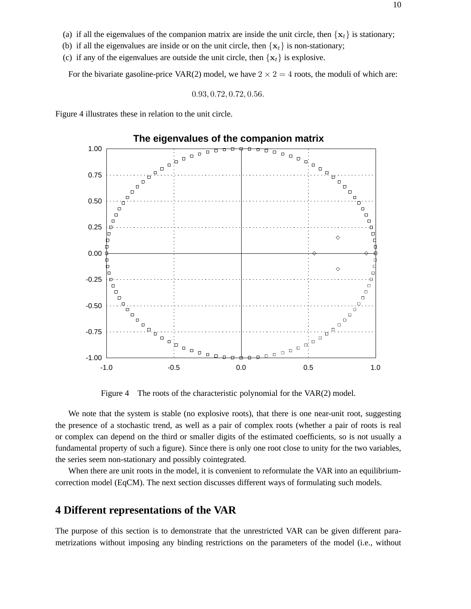- (b) if all the eigenvalues are inside or on the unit circle, then  $\{x_t\}$  is non-stationary;
- (c) if any of the eigenvalues are outside the unit circle, then  $\{x_t\}$  is explosive.

For the bivariate gasoline-price VAR(2) model, we have  $2 \times 2 = 4$  roots, the moduli of which are:

$$
0.93, 0.72, 0.72, 0.56.
$$

Figure 4 illustrates these in relation to the unit circle.



Figure 4 The roots of the characteristic polynomial for the VAR(2) model.

We note that the system is stable (no explosive roots), that there is one near-unit root, suggesting the presence of a stochastic trend, as well as a pair of complex roots (whether a pair of roots is real or complex can depend on the third or smaller digits of the estimated coefficients, so is not usually a fundamental property of such a figure). Since there is only one root close to unity for the two variables, the series seem non-stationary and possibly cointegrated.

When there are unit roots in the model, it is convenient to reformulate the VAR into an equilibriumcorrection model (EqCM). The next section discusses different ways of formulating such models.

# **4 Different representations of the VAR**

The purpose of this section is to demonstrate that the unrestricted VAR can be given different parametrizations without imposing any binding restrictions on the parameters of the model (i.e., without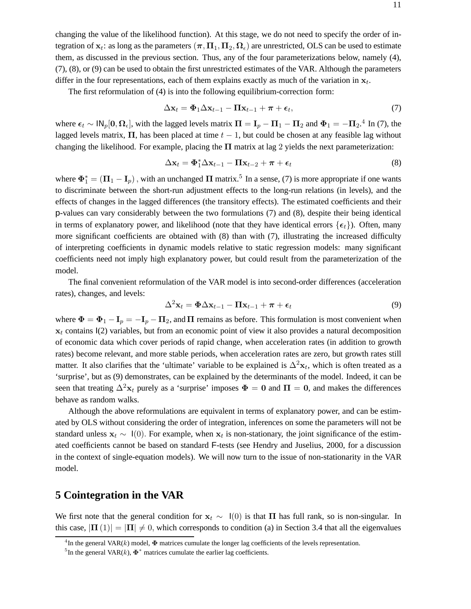changing the value of the likelihood function). At this stage, we do not need to specify the order of integration of  $\mathbf{x}_t$ : as long as the parameters  $(\pi, \Pi_1, \Pi_2, \Omega_\epsilon)$  are unrestricted, OLS can be used to estimate them, as discussed in the previous section. Thus, any of the four parameterizations below, namely (4), (7), (8), or (9) can be used to obtain the first unrestricted estimates of the VAR. Although the parameters differ in the four representations, each of them explains exactly as much of the variation in  $x_t$ .

The first reformulation of (4) is into the following equilibrium-correction form:

$$
\Delta \mathbf{x}_t = \mathbf{\Phi}_1 \Delta \mathbf{x}_{t-1} - \mathbf{\Pi} \mathbf{x}_{t-1} + \boldsymbol{\pi} + \boldsymbol{\epsilon}_t, \tag{7}
$$

where  $\epsilon_t \sim \mathsf{IN}_p[0, \Omega_\epsilon]$ , with the lagged levels matrix  $\Pi = \mathbf{I}_p - \mathbf{\Pi}_1 - \mathbf{\Pi}_2$  and  $\Phi_1 = -\mathbf{\Pi}_2$ .<sup>4</sup> In (7), the lagged levels matrix,  $\Pi$ , has been placed at time  $t - 1$ , but could be chosen at any feasible lag without changing the likelihood. For example, placing the **Π** matrix at lag 2 yields the next parameterization:

$$
\Delta \mathbf{x}_t = \mathbf{\Phi}_1^* \Delta \mathbf{x}_{t-1} - \mathbf{\Pi} \mathbf{x}_{t-2} + \boldsymbol{\pi} + \boldsymbol{\epsilon}_t
$$
\n(8)

where  $\Phi_1^* = (\Pi_1 - \mathbf{I}_p)$ , with an unchanged  $\Pi$  matrix.<sup>5</sup> In a sense, (7) is more appropriate if one wants to discriminate between the short-run adjustment effects to the long-run relations (in levels), and the effects of changes in the lagged differences (the transitory effects). The estimated coefficients and their p-values can vary considerably between the two formulations (7) and (8), despite their being identical in terms of explanatory power, and likelihood (note that they have identical errors  $\{\epsilon_t\}$ ). Often, many more significant coefficients are obtained with (8) than with (7), illustrating the increased difficulty of interpreting coefficients in dynamic models relative to static regression models: many significant coefficients need not imply high explanatory power, but could result from the parameterization of the model.

The final convenient reformulation of the VAR model is into second-order differences (acceleration rates), changes, and levels:

$$
\Delta^2 \mathbf{x}_t = \mathbf{\Phi} \Delta \mathbf{x}_{t-1} - \mathbf{\Pi} \mathbf{x}_{t-1} + \boldsymbol{\pi} + \boldsymbol{\epsilon}_t
$$
\n(9)

where  $\Phi = \Phi_1 - I_p = -I_p - \Pi_2$ , and  $\Pi$  remains as before. This formulation is most convenient when  $x_t$  contains I(2) variables, but from an economic point of view it also provides a natural decomposition of economic data which cover periods of rapid change, when acceleration rates (in addition to growth rates) become relevant, and more stable periods, when acceleration rates are zero, but growth rates still matter. It also clarifies that the 'ultimate' variable to be explained is  $\Delta^2 x_t$ , which is often treated as a 'surprise', but as (9) demonstrates, can be explained by the determinants of the model. Indeed, it can be seen that treating  $\Delta^2 x_t$  purely as a 'surprise' imposes  $\Phi = 0$  and  $\Pi = 0$ , and makes the differences behave as random walks.

Although the above reformulations are equivalent in terms of explanatory power, and can be estimated by OLS without considering the order of integration, inferences on some the parameters will not be standard unless  $\mathbf{x}_t \sim \mathbf{I}(0)$ . For example, when  $\mathbf{x}_t$  is non-stationary, the joint significance of the estimated coefficients cannot be based on standard F-tests (see Hendry and Juselius, 2000, for a discussion in the context of single-equation models). We will now turn to the issue of non-stationarity in the VAR model.

# **5 Cointegration in the VAR**

We first note that the general condition for  $\mathbf{x}_t \sim \mathbf{I}(0)$  is that  $\Pi$  has full rank, so is non-singular. In this case,  $|\mathbf{\Pi}(1)| = |\mathbf{\Pi}| \neq 0$ , which corresponds to condition (a) in Section 3.4 that all the eigenvalues

<sup>&</sup>lt;sup>4</sup>In the general VAR(k) model,  $\Phi$  matrices cumulate the longer lag coefficients of the levels representation.

<sup>&</sup>lt;sup>5</sup>In the general VAR(k),  $\Phi^*$  matrices cumulate the earlier lag coefficients.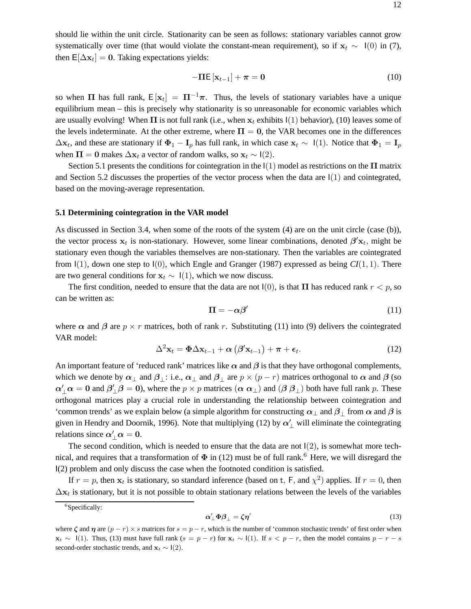should lie within the unit circle. Stationarity can be seen as follows: stationary variables cannot grow systematically over time (that would violate the constant-mean requirement), so if  $\mathbf{x}_t \sim \mathbf{I}(0)$  in (7), then  $E[\Delta x_t] = 0$ . Taking expectations yields:

$$
-\Pi E\left[\mathbf{x}_{t-1}\right] + \boldsymbol{\pi} = \mathbf{0} \tag{10}
$$

so when **Π** has full rank,  $E[x_t] = \Pi^{-1}\pi$ . Thus, the levels of stationary variables have a unique equilibrium mean – this is precisely why stationarity is so unreasonable for economic variables which are usually evolving! When  $\Pi$  is not full rank (i.e., when  $x_t$  exhibits  $\mathfrak{l}(1)$  behavior), (10) leaves some of the levels indeterminate. At the other extreme, where  $\Pi = 0$ , the VAR becomes one in the differences  $\Delta x_t$ , and these are stationary if  $\Phi_1 - I_p$  has full rank, in which case  $x_t \sim 1(1)$ . Notice that  $\Phi_1 = I_p$ when  $\Pi = 0$  makes  $\Delta x_t$  a vector of random walks, so  $x_t \sim I(2)$ .

Section 5.1 presents the conditions for cointegration in the  $(1)$  model as restrictions on the  $\Pi$  matrix and Section 5.2 discusses the properties of the vector process when the data are I(1) and cointegrated, based on the moving-average representation.

#### **5.1 Determining cointegration in the VAR model**

As discussed in Section 3.4, when some of the roots of the system (4) are on the unit circle (case (b)), the vector process  $\mathbf{x}_t$  is non-stationary. However, some linear combinations, denoted  $\beta' \mathbf{x}_t$ , might be stationary even though the variables themselves are non-stationary. Then the variables are cointegrated from I(1), down one step to I(0), which Engle and Granger (1987) expressed as being *CI*(1, 1). There are two general conditions for  $\mathbf{x}_t \sim 1(1)$ , which we now discuss.

The first condition, needed to ensure that the data are not  $I(0)$ , is that **Π** has reduced rank  $r < p$ , so can be written as:

$$
\Pi = -\alpha \beta' \tag{11}
$$

where  $\alpha$  and  $\beta$  are  $p \times r$  matrices, both of rank r. Substituting (11) into (9) delivers the cointegrated VAR model:

$$
\Delta^2 \mathbf{x}_t = \mathbf{\Phi} \Delta \mathbf{x}_{t-1} + \boldsymbol{\alpha} \left( \boldsymbol{\beta}' \mathbf{x}_{t-1} \right) + \boldsymbol{\pi} + \boldsymbol{\epsilon}_t. \tag{12}
$$

An important feature of 'reduced rank' matrices like  $\alpha$  and  $\beta$  is that they have orthogonal complements, which we denote by  $\alpha_{\perp}$  and  $\beta_{\perp}$ : i.e.,  $\alpha_{\perp}$  and  $\beta_{\perp}$  are  $p \times (p - r)$  matrices orthogonal to  $\alpha$  and  $\beta$  (so  $\alpha'_\perp \alpha = 0$  and  $\beta'_\perp \beta = 0$ ), where the  $p \times p$  matrices  $(\alpha \alpha_\perp)$  and  $(\beta \beta_\perp)$  both have full rank p. These orthogonal matrices play a crucial role in understanding the relationship between cointegration and 'common trends' as we explain below (a simple algorithm for constructing  $\alpha_{\perp}$  and  $\beta_{\perp}$  from  $\alpha$  and  $\beta$  is given in Hendry and Doornik, 1996). Note that multiplying (12) by  $\alpha'_{\perp}$  will eliminate the cointegrating relations since  $\alpha'_{\perp} \alpha = 0$ .

The second condition, which is needed to ensure that the data are not  $I(2)$ , is somewhat more technical, and requires that a transformation of  $\Phi$  in (12) must be of full rank.<sup>6</sup> Here, we will disregard the I(2) problem and only discuss the case when the footnoted condition is satisfied.

If  $r = p$ , then  $x_t$  is stationary, so standard inference (based on t, F, and  $\chi^2$ ) applies. If  $r = 0$ , then  $\Delta x_t$  is stationary, but it is not possible to obtain stationary relations between the levels of the variables

$$
\alpha'_{\perp} \Phi \beta_{\perp} = \zeta \eta' \tag{13}
$$

<sup>&</sup>lt;sup>6</sup>Specifically:

where  $\zeta$  and  $\eta$  are  $(p - r) \times s$  matrices for  $s = p - r$ , which is the number of 'common stochastic trends' of first order when **x**<sub>t</sub> ∼ I(1). Thus, (13) must have full rank ( $s = p - r$ ) for  $\mathbf{x}_t \sim I(1)$ . If  $s < p - r$ , then the model contains  $p - r - s$ second-order stochastic trends, and  $\mathbf{x}_t \sim \mathsf{I}(2)$ .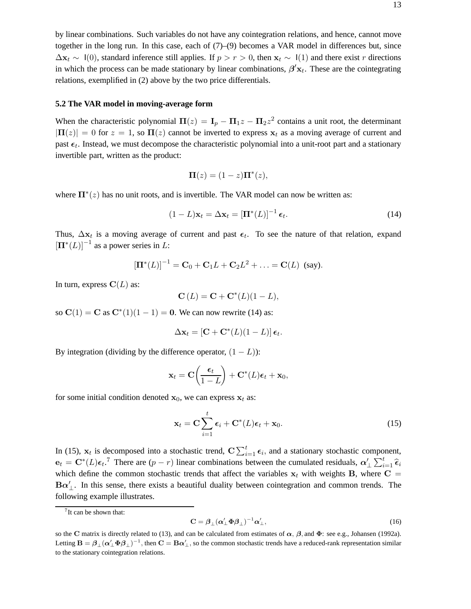by linear combinations. Such variables do not have any cointegration relations, and hence, cannot move together in the long run. In this case, each of (7)–(9) becomes a VAR model in differences but, since  $\Delta$ **x**<sub>t</sub> ∼ I(0), standard inference still applies. If  $p > r > 0$ , then **x**<sub>t</sub> ∼ I(1) and there exist r directions in which the process can be made stationary by linear combinations,  $\beta' \mathbf{x}_t$ . These are the cointegrating relations, exemplified in (2) above by the two price differentials.

### **5.2 The VAR model in moving-average form**

When the characteristic polynomial  $\Pi(z) = I_p - \Pi_1 z - \Pi_2 z^2$  contains a unit root, the determinant  $|\mathbf{\Pi}(z)| = 0$  for  $z = 1$ , so  $\mathbf{\Pi}(z)$  cannot be inverted to express  $\mathbf{x}_t$  as a moving average of current and past  $\epsilon_t$ . Instead, we must decompose the characteristic polynomial into a unit-root part and a stationary invertible part, written as the product:

$$
\mathbf{\Pi}(z) = (1-z)\mathbf{\Pi}^*(z),
$$

where  $\Pi^*(z)$  has no unit roots, and is invertible. The VAR model can now be written as:

$$
(1 - L)\mathbf{x}_t = \Delta \mathbf{x}_t = \left[\mathbf{\Pi}^*(L)\right]^{-1} \boldsymbol{\epsilon}_t. \tag{14}
$$

Thus,  $\Delta x_t$  is a moving average of current and past  $\epsilon_t$ . To see the nature of that relation, expand  $[\mathbf{\Pi}^*(L)]^{-1}$  as a power series in L:

$$
[\mathbf{\Pi}^*(L)]^{-1} = \mathbf{C}_0 + \mathbf{C}_1 L + \mathbf{C}_2 L^2 + \ldots = \mathbf{C}(L)
$$
 (say).

In turn, express  $C(L)$  as:

$$
\mathbf{C}\left(L\right) = \mathbf{C} + \mathbf{C}^*(L)(1-L),
$$

so  $C(1) = C$  as  $C^*(1)(1 - 1) = 0$ . We can now rewrite (14) as:

$$
\Delta \mathbf{x}_t = [\mathbf{C} + \mathbf{C}^*(L)(1-L)] \, \boldsymbol{\epsilon}_t.
$$

By integration (dividing by the difference operator,  $(1 - L)$ ):

$$
\mathbf{x}_t = \mathbf{C} \left( \frac{\boldsymbol{\epsilon}_t}{1-L} \right) + \mathbf{C}^*(L) \boldsymbol{\epsilon}_t + \mathbf{x}_0,
$$

for some initial condition denoted  $x_0$ , we can express  $x_t$  as:

$$
\mathbf{x}_t = \mathbf{C} \sum_{i=1}^t \boldsymbol{\epsilon}_i + \mathbf{C}^*(L)\boldsymbol{\epsilon}_t + \mathbf{x}_0.
$$
 (15)

In (15),  $\mathbf{x}_t$  is decomposed into a stochastic trend,  $\mathbf{C} \sum_{i=1}^t \epsilon_i$ , and a stationary stochastic component,  $\mathbf{e}_t = \mathbf{C}^*(L)\mathbf{\epsilon}_t$ .<sup>7</sup> There are  $(p - r)$  linear combinations between the cumulated residuals,  $\alpha'_\perp \sum_{i=1}^t \hat{\epsilon}_i$ which define the common stochastic trends that affect the variables  $x_t$  with weights **B**, where  $C =$  $B\alpha'$ <sub>⊥</sub>. In this sense, there exists a beautiful duality between cointegration and common trends. The following example illustrates.

$$
\mathbf{C} = \boldsymbol{\beta}_{\perp} (\boldsymbol{\alpha}'_{\perp} \boldsymbol{\Phi} \boldsymbol{\beta}_{\perp})^{-1} \boldsymbol{\alpha}'_{\perp},\tag{16}
$$

<sup>&</sup>lt;sup>7</sup>It can be shown that:

so the **C** matrix is directly related to (13), and can be calculated from estimates of  $\alpha$ ,  $\beta$ , and  $\Phi$ : see e.g., Johansen (1992a). Letting  $B = \beta_\perp (\alpha'_\perp \Phi \beta_\perp)^{-1}$ , then  $C = B\alpha'_\perp$ , so the common stochastic trends have a reduced-rank representation similar to the stationary cointegration relations.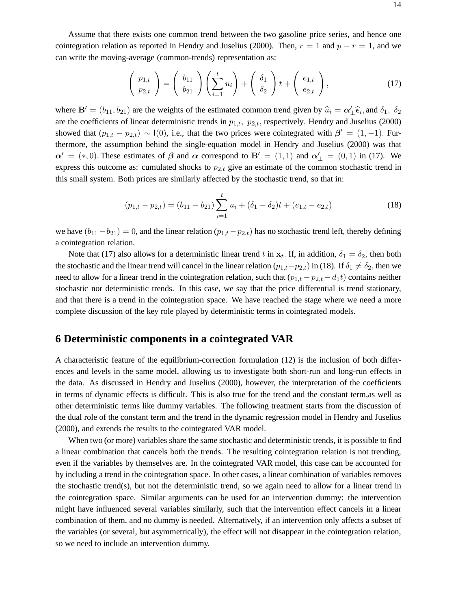Assume that there exists one common trend between the two gasoline price series, and hence one cointegration relation as reported in Hendry and Juselius (2000). Then,  $r = 1$  and  $p - r = 1$ , and we can write the moving-average (common-trends) representation as:

$$
\begin{pmatrix} p_{1,t} \\ p_{2,t} \end{pmatrix} = \begin{pmatrix} b_{11} \\ b_{21} \end{pmatrix} \left( \sum_{i=1}^t u_i \right) + \begin{pmatrix} \delta_1 \\ \delta_2 \end{pmatrix} t + \begin{pmatrix} e_{1,t} \\ e_{2,t} \end{pmatrix}, \tag{17}
$$

where **B**<sup> $0$ </sup> = ( $b_{11}, b_{21}$ ) are the weights of the estimated common trend given by  $\hat{u}_i = \alpha'_1 \hat{\epsilon}_i$ , and  $\delta_1$ ,  $\delta_2$ are the coefficients of linear deterministic trends in  $p_{1,t}$ ,  $p_{2,t}$ , respectively. Hendry and Juselius (2000) showed that  $(p_{1,t} - p_{2,t}) \sim I(0)$ , i.e., that the two prices were cointegrated with  $\beta' = (1, -1)$ . Furthermore, the assumption behind the single-equation model in Hendry and Juselius (2000) was that  $\alpha' = (*, 0)$ . These estimates of  $\beta$  and  $\alpha$  correspond to  $B' = (1, 1)$  and  $\alpha'_{\perp} = (0, 1)$  in (17). We express this outcome as: cumulated shocks to  $p_{2,t}$  give an estimate of the common stochastic trend in this small system. Both prices are similarly affected by the stochastic trend, so that in:

$$
(p_{1,t} - p_{2,t}) = (b_{11} - b_{21}) \sum_{i=1}^{t} u_i + (\delta_1 - \delta_2)t + (e_{1,t} - e_{2,t})
$$
\n(18)

we have  $(b_{11}-b_{21})=0$ , and the linear relation  $(p_{1,t}-p_{2,t})$  has no stochastic trend left, thereby defining a cointegration relation.

Note that (17) also allows for a deterministic linear trend t in  $x_t$ . If, in addition,  $\delta_1 = \delta_2$ , then both the stochastic and the linear trend will cancel in the linear relation  $(p_{1,t}-p_{2,t})$  in (18). If  $\delta_1 \neq \delta_2$ , then we need to allow for a linear trend in the cointegration relation, such that  $(p_{1,t} - p_{2,t} - d_1t)$  contains neither stochastic nor deterministic trends. In this case, we say that the price differential is trend stationary, and that there is a trend in the cointegration space. We have reached the stage where we need a more complete discussion of the key role played by deterministic terms in cointegrated models.

## **6 Deterministic components in a cointegrated VAR**

A characteristic feature of the equilibrium-correction formulation (12) is the inclusion of both differences and levels in the same model, allowing us to investigate both short-run and long-run effects in the data. As discussed in Hendry and Juselius (2000), however, the interpretation of the coefficients in terms of dynamic effects is difficult. This is also true for the trend and the constant term,as well as other deterministic terms like dummy variables. The following treatment starts from the discussion of the dual role of the constant term and the trend in the dynamic regression model in Hendry and Juselius (2000), and extends the results to the cointegrated VAR model.

When two (or more) variables share the same stochastic and deterministic trends, it is possible to find a linear combination that cancels both the trends. The resulting cointegration relation is not trending, even if the variables by themselves are. In the cointegrated VAR model, this case can be accounted for by including a trend in the cointegration space. In other cases, a linear combination of variables removes the stochastic trend(s), but not the deterministic trend, so we again need to allow for a linear trend in the cointegration space. Similar arguments can be used for an intervention dummy: the intervention might have influenced several variables similarly, such that the intervention effect cancels in a linear combination of them, and no dummy is needed. Alternatively, if an intervention only affects a subset of the variables (or several, but asymmetrically), the effect will not disappear in the cointegration relation, so we need to include an intervention dummy.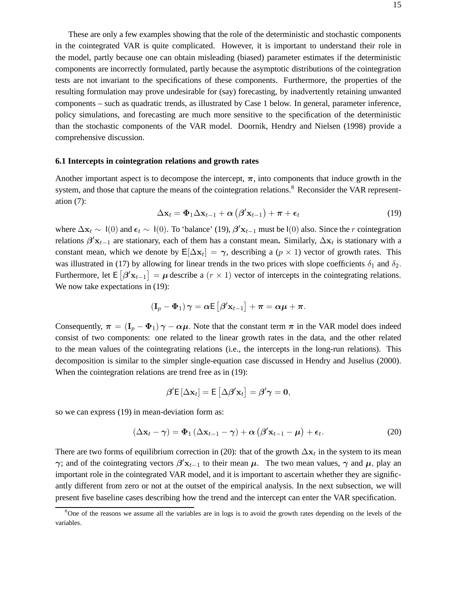These are only a few examples showing that the role of the deterministic and stochastic components in the cointegrated VAR is quite complicated. However, it is important to understand their role in the model, partly because one can obtain misleading (biased) parameter estimates if the deterministic components are incorrectly formulated, partly because the asymptotic distributions of the cointegration tests are not invariant to the specifications of these components. Furthermore, the properties of the resulting formulation may prove undesirable for (say) forecasting, by inadvertently retaining unwanted components – such as quadratic trends, as illustrated by Case 1 below. In general, parameter inference, policy simulations, and forecasting are much more sensitive to the specification of the deterministic than the stochastic components of the VAR model. Doornik, Hendry and Nielsen (1998) provide a comprehensive discussion.

### **6.1 Intercepts in cointegration relations and growth rates**

Another important aspect is to decompose the intercept,  $\pi$ , into components that induce growth in the system, and those that capture the means of the cointegration relations.<sup>8</sup> Reconsider the VAR representation (7):

$$
\Delta \mathbf{x}_t = \mathbf{\Phi}_1 \Delta \mathbf{x}_{t-1} + \boldsymbol{\alpha} \left( \boldsymbol{\beta}' \mathbf{x}_{t-1} \right) + \boldsymbol{\pi} + \boldsymbol{\epsilon}_t \tag{19}
$$

where  $\Delta \mathbf{x}_t \sim I(0)$  and  $\boldsymbol{\epsilon}_t \sim I(0)$ . To 'balance' (19),  $\boldsymbol{\beta}' \mathbf{x}_{t-1}$  must be  $I(0)$  also. Since the *r* cointegration relations  $\beta'$ **x**<sub>t−1</sub> are stationary, each of them has a constant mean. Similarly,  $\Delta$ **x**<sub>t</sub> is stationary with a constant mean, which we denote by  $E[\Delta x_t] = \gamma$ , describing a ( $p \times 1$ ) vector of growth rates. This was illustrated in (17) by allowing for linear trends in the two prices with slope coefficients  $\delta_1$  and  $\delta_2$ . Furthermore, let  $E[\beta' \mathbf{x}_{t-1}] = \mu$  describe a  $(r \times 1)$  vector of intercepts in the cointegrating relations. We now take expectations in (19):

$$
(\mathbf{I}_p - \mathbf{\Phi}_1) \gamma = \alpha \mathsf{E} \left[ \beta' \mathbf{x}_{t-1} \right] + \pi = \alpha \mu + \pi.
$$

Consequently,  $\pi = (\mathbf{I}_p - \Phi_1)\gamma - \alpha\mu$ . Note that the constant term  $\pi$  in the VAR model does indeed consist of two components: one related to the linear growth rates in the data, and the other related to the mean values of the cointegrating relations (i.e., the intercepts in the long-run relations). This decomposition is similar to the simpler single-equation case discussed in Hendry and Juselius (2000). When the cointegration relations are trend free as in (19):

$$
\boldsymbol{\beta}' \mathsf{E}\left[ \Delta \mathbf{x}_t \right] = \mathsf{E}\left[ \Delta \boldsymbol{\beta}' \mathbf{x}_t \right] = \boldsymbol{\beta}' \boldsymbol{\gamma} = \mathbf{0},
$$

so we can express (19) in mean-deviation form as:

$$
(\Delta \mathbf{x}_t - \boldsymbol{\gamma}) = \boldsymbol{\Phi}_1 \left( \Delta \mathbf{x}_{t-1} - \boldsymbol{\gamma} \right) + \boldsymbol{\alpha} \left( \boldsymbol{\beta}' \mathbf{x}_{t-1} - \boldsymbol{\mu} \right) + \boldsymbol{\epsilon}_t. \tag{20}
$$

There are two forms of equilibrium correction in (20): that of the growth  $\Delta x_t$  in the system to its mean *γ*; and of the cointegrating vectors  $\beta'$ **x**<sub>t−1</sub> to their mean  $\mu$ . The two mean values,  $\gamma$  and  $\mu$ , play an important role in the cointegrated VAR model, and it is important to ascertain whether they are significantly different from zero or not at the outset of the empirical analysis. In the next subsection, we will present five baseline cases describing how the trend and the intercept can enter the VAR specification.

<sup>8</sup>One of the reasons we assume all the variables are in logs is to avoid the growth rates depending on the levels of the variables.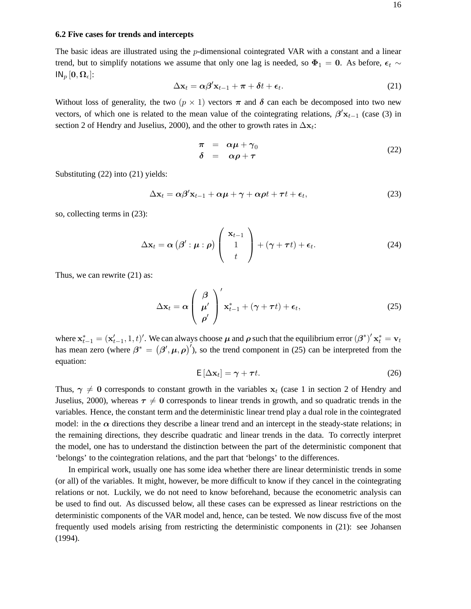### **6.2 Five cases for trends and intercepts**

The basic ideas are illustrated using the *p*-dimensional cointegrated VAR with a constant and a linear trend, but to simplify notations we assume that only one lag is needed, so  $\Phi_1 = 0$ . As before,  $\epsilon_t \sim$  $IN_p [0, \Omega_\epsilon]$ :

$$
\Delta \mathbf{x}_t = \alpha \beta' \mathbf{x}_{t-1} + \boldsymbol{\pi} + \boldsymbol{\delta} t + \boldsymbol{\epsilon}_t. \tag{21}
$$

Without loss of generality, the two  $(p \times 1)$  vectors  $\pi$  and  $\delta$  can each be decomposed into two new vectors, of which one is related to the mean value of the cointegrating relations,  $\beta'$ **x**<sub>t−1</sub> (case (3) in section 2 of Hendry and Juselius, 2000), and the other to growth rates in  $\Delta x_t$ :

$$
\begin{array}{rcl}\n\pi & = & \alpha \mu + \gamma_0 \\
\delta & = & \alpha \rho + \tau\n\end{array} \tag{22}
$$

Substituting (22) into (21) yields:

$$
\Delta \mathbf{x}_t = \alpha \beta' \mathbf{x}_{t-1} + \alpha \mu + \gamma + \alpha \rho t + \tau t + \epsilon_t, \tag{23}
$$

so, collecting terms in (23):

$$
\Delta \mathbf{x}_t = \boldsymbol{\alpha} \left( \boldsymbol{\beta}' : \boldsymbol{\mu} : \boldsymbol{\rho} \right) \begin{pmatrix} \mathbf{x}_{t-1} \\ 1 \\ t \end{pmatrix} + (\boldsymbol{\gamma} + \boldsymbol{\tau} t) + \boldsymbol{\epsilon}_t. \tag{24}
$$

Thus, we can rewrite (21) as:

$$
\Delta \mathbf{x}_t = \alpha \left( \begin{array}{c} \beta \\ \mu' \\ \rho' \end{array} \right)' \mathbf{x}_{t-1}^* + (\gamma + \tau t) + \epsilon_t,
$$
 (25)

where  $\mathbf{x}_{t-1}^* = (\mathbf{x}_{t-1}', 1, t)'$ . We can always choose  $\boldsymbol{\mu}$  and  $\boldsymbol{\rho}$  such that the equilibrium error  $(\boldsymbol{\beta}^*)' \mathbf{x}_t^* = \mathbf{v}_t$ has mean zero (where  $\beta^* = (\beta', \mu, \rho)'$ ), so the trend component in (25) can be interpreted from the equation:

$$
E\left[\Delta x_t\right] = \gamma + \tau t. \tag{26}
$$

Thus,  $\gamma \neq 0$  corresponds to constant growth in the variables  $x_t$  (case 1 in section 2 of Hendry and Juselius, 2000), whereas  $\tau \neq 0$  corresponds to linear trends in growth, and so quadratic trends in the variables. Hence, the constant term and the deterministic linear trend play a dual role in the cointegrated model: in the  $\alpha$  directions they describe a linear trend and an intercept in the steady-state relations; in the remaining directions, they describe quadratic and linear trends in the data. To correctly interpret the model, one has to understand the distinction between the part of the deterministic component that 'belongs' to the cointegration relations, and the part that 'belongs' to the differences.

In empirical work, usually one has some idea whether there are linear deterministic trends in some (or all) of the variables. It might, however, be more difficult to know if they cancel in the cointegrating relations or not. Luckily, we do not need to know beforehand, because the econometric analysis can be used to find out. As discussed below, all these cases can be expressed as linear restrictions on the deterministic components of the VAR model and, hence, can be tested. We now discuss five of the most frequently used models arising from restricting the deterministic components in (21): see Johansen (1994).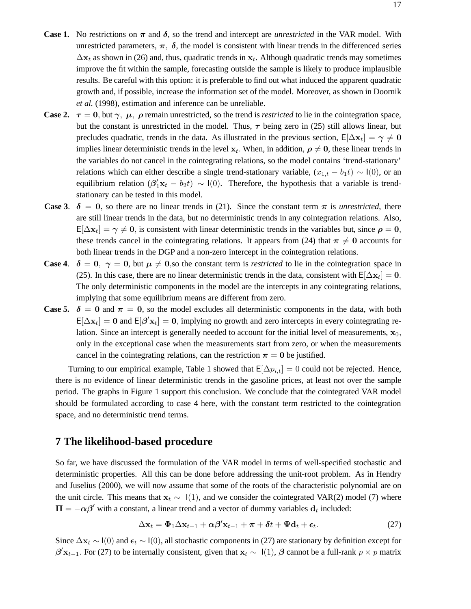- **Case 1.** No restrictions on  $\pi$  and  $\delta$ , so the trend and intercept are *unrestricted* in the VAR model. With unrestricted parameters,  $\pi$ ,  $\delta$ , the model is consistent with linear trends in the differenced series  $\Delta$ **x**<sub>t</sub> as shown in (26) and, thus, quadratic trends in **x**<sub>t</sub>. Although quadratic trends may sometimes improve the fit within the sample, forecasting outside the sample is likely to produce implausible results. Be careful with this option: it is preferable to find out what induced the apparent quadratic growth and, if possible, increase the information set of the model. Moreover, as shown in Doornik *et al.* (1998), estimation and inference can be unreliable.
- **Case 2.**  $\tau = 0$ , but  $\gamma$ ,  $\mu$ ,  $\rho$  remain unrestricted, so the trend is *restricted* to lie in the cointegration space, but the constant is unrestricted in the model. Thus, *τ* being zero in (25) still allows linear, but precludes quadratic, trends in the data. As illustrated in the previous section,  $E[\Delta x_t] = \gamma \neq 0$ implies linear deterministic trends in the level  $\mathbf{x}_t$ . When, in addition,  $\rho \neq 0$ , these linear trends in the variables do not cancel in the cointegrating relations, so the model contains 'trend-stationary' relations which can either describe a single trend-stationary variable,  $(x_{1,t} - b_1t) \sim I(0)$ , or an equilibrium relation  $(\beta'_1\mathbf{x}_t - b_2t) \sim I(0)$ . Therefore, the hypothesis that a variable is trendstationary can be tested in this model.
- **Case 3.**  $\delta = 0$ , so there are no linear trends in (21). Since the constant term  $\pi$  is *unrestricted*, there are still linear trends in the data, but no deterministic trends in any cointegration relations. Also,  $E[\Delta x_t] = \gamma \neq 0$ , is consistent with linear deterministic trends in the variables but, since  $\rho = 0$ , these trends cancel in the cointegrating relations. It appears from (24) that  $\pi \neq 0$  accounts for both linear trends in the DGP and a non-zero intercept in the cointegration relations.
- **Case 4.**  $\delta = 0$ ,  $\gamma = 0$ , but  $\mu \neq 0$ , so the constant term is *restricted* to lie in the cointegration space in (25). In this case, there are no linear deterministic trends in the data, consistent with  $E[\Delta x_t] = 0$ . The only deterministic components in the model are the intercepts in any cointegrating relations, implying that some equilibrium means are different from zero.
- **Case 5.**  $\delta = 0$  and  $\pi = 0$ , so the model excludes all deterministic components in the data, with both  $E[\Delta x_t] = 0$  and  $E[\beta' x_t] = 0$ , implying no growth and zero intercepts in every cointegrating relation. Since an intercept is generally needed to account for the initial level of measurements,  $\mathbf{x}_0$ , only in the exceptional case when the measurements start from zero, or when the measurements cancel in the cointegrating relations, can the restriction  $\pi = 0$  be justified.

Turning to our empirical example, Table 1 showed that  $E[\Delta p_{i,t}]=0$  could not be rejected. Hence, there is no evidence of linear deterministic trends in the gasoline prices, at least not over the sample period. The graphs in Figure 1 support this conclusion. We conclude that the cointegrated VAR model should be formulated according to case 4 here, with the constant term restricted to the cointegration space, and no deterministic trend terms.

### **7 The likelihood-based procedure**

So far, we have discussed the formulation of the VAR model in terms of well-specified stochastic and deterministic properties. All this can be done before addressing the unit-root problem. As in Hendry and Juselius (2000), we will now assume that some of the roots of the characteristic polynomial are on the unit circle. This means that  $\mathbf{x}_t \sim 1(1)$ , and we consider the cointegrated VAR(2) model (7) where  $\Pi = -\alpha\beta'$  with a constant, a linear trend and a vector of dummy variables  $d_t$  included:

$$
\Delta \mathbf{x}_t = \mathbf{\Phi}_1 \Delta \mathbf{x}_{t-1} + \alpha \beta' \mathbf{x}_{t-1} + \boldsymbol{\pi} + \boldsymbol{\delta} t + \boldsymbol{\Psi} \mathbf{d}_t + \boldsymbol{\epsilon}_t.
$$
 (27)

Since  $\Delta x_t$  ∼ I(0) and  $\epsilon_t$  ∼ I(0), all stochastic components in (27) are stationary by definition except for  $\beta'$ **x**<sub>t−1</sub>. For (27) to be internally consistent, given that **x**<sub>t</sub> ∼ I(1),  $\beta$  cannot be a full-rank  $p \times p$  matrix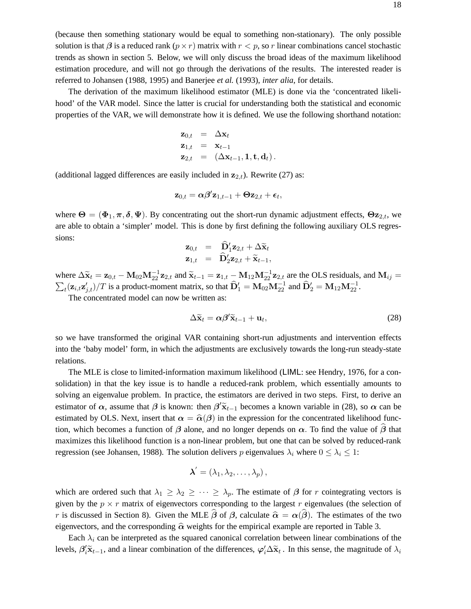(because then something stationary would be equal to something non-stationary). The only possible solution is that  $\beta$  is a reduced rank  $(p \times r)$  matrix with  $r < p$ , so r linear combinations cancel stochastic trends as shown in section 5. Below, we will only discuss the broad ideas of the maximum likelihood estimation procedure, and will not go through the derivations of the results. The interested reader is referred to Johansen (1988, 1995) and Banerjee *et al.* (1993), *inter alia*, for details.

The derivation of the maximum likelihood estimator (MLE) is done via the 'concentrated likelihood' of the VAR model. Since the latter is crucial for understanding both the statistical and economic properties of the VAR, we will demonstrate how it is defined. We use the following shorthand notation:

$$
\begin{array}{rcl}\n\mathbf{z}_{0,t} & = & \Delta \mathbf{x}_t \\
\mathbf{z}_{1,t} & = & \mathbf{x}_{t-1} \\
\mathbf{z}_{2,t} & = & (\Delta \mathbf{x}_{t-1}, \mathbf{1}, \mathbf{t}, \mathbf{d}_t).\n\end{array}
$$

(additional lagged differences are easily included in  $z_{2,t}$ ). Rewrite (27) as:

$$
\mathbf{z}_{0,t} = \alpha \boldsymbol{\beta}' \mathbf{z}_{1,t-1} + \mathbf{\Theta} \mathbf{z}_{2,t} + \boldsymbol{\epsilon}_t,
$$

where  $\Theta = (\Phi_1, \pi, \delta, \Psi)$ . By concentrating out the short-run dynamic adjustment effects,  $\Theta z_{2,t}$ , we are able to obtain a 'simpler' model. This is done by first defining the following auxiliary OLS regressions:

$$
\mathbf{z}_{0,t} = \hat{\mathbf{D}}_1'\mathbf{z}_{2,t} + \Delta \widetilde{\mathbf{x}}_t \n\mathbf{z}_{1,t} = \hat{\mathbf{D}}_2'\mathbf{z}_{2,t} + \widetilde{\mathbf{x}}_{t-1},
$$

where  $\Delta \tilde{\mathbf{x}}_t = \mathbf{z}_{0,t} - \mathbf{M}_{02} \mathbf{M}_{22}^{-1} \mathbf{z}_{2,t}$  and  $\tilde{\mathbf{x}}_{t-1} = \mathbf{z}_{1,t} - \mathbf{M}_{12} \mathbf{M}_{22}^{-1} \mathbf{z}_{2,t}$  are the OLS residuals, and  $\mathbf{M}_{ij} = \sum_{k=1}^{N} \left( \mathbf{z}_{k} - \mathbf{z}_{k} \right) / T_{ij}$  is a gradient generat  $\sum_{t} (\mathbf{z}_{i,t} \mathbf{z}_{j,t}')/T$  is a product-moment matrix, so that  $\widehat{\mathbf{D}}_1' = \mathbf{M}_{02} \mathbf{M}_{22}^{-1}$  and  $\widehat{\mathbf{D}}_2' = \mathbf{M}_{12} \mathbf{M}_{22}^{-1}$ .

The concentrated model can now be written as:

$$
\Delta \widetilde{\mathbf{x}}_t = \alpha \beta' \widetilde{\mathbf{x}}_{t-1} + \mathbf{u}_t, \tag{28}
$$

so we have transformed the original VAR containing short-run adjustments and intervention effects into the 'baby model' form, in which the adjustments are exclusively towards the long-run steady-state relations.

The MLE is close to limited-information maximum likelihood (LIML: see Hendry, 1976, for a consolidation) in that the key issue is to handle a reduced-rank problem, which essentially amounts to solving an eigenvalue problem. In practice, the estimators are derived in two steps. First, to derive an estimator of  $\alpha$ , assume that  $\beta$  is known: then  $\beta' \tilde{\mathbf{x}}_{t-1}$  becomes a known variable in (28), so  $\alpha$  can be estimated by OLS. Next, insert that  $\alpha = \hat{\alpha}(\beta)$  in the expression for the concentrated likelihood function, which becomes a function of  $\beta$  alone, and no longer depends on  $\alpha$ . To find the value of  $\beta$  that maximizes this likelihood function is a non-linear problem, but one that can be solved by reduced-rank regression (see Johansen, 1988). The solution delivers p eigenvalues  $\lambda_i$  where  $0 \leq \lambda_i \leq 1$ :

$$
\boldsymbol{\lambda}' = (\lambda_1, \lambda_2, \ldots, \lambda_p),
$$

which are ordered such that  $\lambda_1 \geq \lambda_2 \geq \cdots \geq \lambda_p$ . The estimate of  $\beta$  for r cointegrating vectors is given by the  $p \times r$  matrix of eigenvectors corresponding to the largest r eigenvalues (the selection of r is discussed in Section 8). Given the MLE  $\hat{\beta}$  of  $\beta$ , calculate  $\hat{\alpha} = \alpha(\hat{\beta})$ . The estimates of the two eigenvectors, and the corresponding  $\hat{\alpha}$  weights for the empirical example are reported in Table 3.

Each  $\lambda_i$  can be interpreted as the squared canonical correlation between linear combinations of the levels,  $\beta'_i \tilde{\mathbf{x}}_{t-1}$ , and a linear combination of the differences,  $\varphi'_i \Delta \tilde{\mathbf{x}}_t$ . In this sense, the magnitude of  $\lambda_i$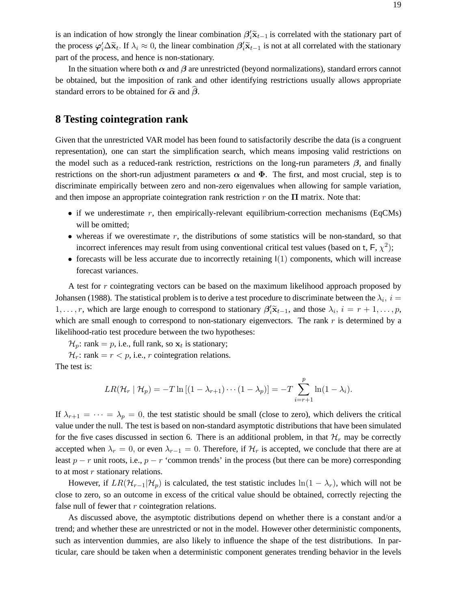is an indication of how strongly the linear combination  $\beta'_i\tilde{x}_{t-1}$  is correlated with the stationary part of the grapes  $\beta'_i\tilde{x}_{t-1}$  is contributed with the stationary part of the process  $\varphi'_i \Delta \tilde{\mathbf{x}}_t$ . If  $\lambda_i \approx 0$ , the linear combination  $\beta'_i \tilde{\mathbf{x}}_{t-1}$  is not at all correlated with the stationary part of the process, and hence is non-stationary.

In the situation where both  $\alpha$  and  $\beta$  are unrestricted (beyond normalizations), standard errors cannot be obtained, but the imposition of rank and other identifying restrictions usually allows appropriate standard errors to be obtained for  $\hat{\alpha}$  and  $\hat{\beta}$ .

## **8 Testing cointegration rank**

Given that the unrestricted VAR model has been found to satisfactorily describe the data (is a congruent representation), one can start the simplification search, which means imposing valid restrictions on the model such as a reduced-rank restriction, restrictions on the long-run parameters *β*, and finally restrictions on the short-run adjustment parameters  $\alpha$  and  $\Phi$ . The first, and most crucial, step is to discriminate empirically between zero and non-zero eigenvalues when allowing for sample variation, and then impose an appropriate cointegration rank restriction  $r$  on the  $\Pi$  matrix. Note that:

- if we underestimate r, then empirically-relevant equilibrium-correction mechanisms (EqCMs) will be omitted;
- whereas if we overestimate  $r$ , the distributions of some statistics will be non-standard, so that incorrect inferences may result from using conventional critical test values (based on t,  $\mathsf{F}, \chi^2$ );
- forecasts will be less accurate due to incorrectly retaining  $I(1)$  components, which will increase forecast variances.

A test for r cointegrating vectors can be based on the maximum likelihood approach proposed by Johansen (1988). The statistical problem is to derive a test procedure to discriminate between the  $\lambda_i$ ,  $i =$ 1,...,r, which are large enough to correspond to stationary  $\beta'_i \tilde{\mathbf{x}}_{t-1}$ , and those  $\lambda_i$ ,  $i = r + 1, \ldots, p$ , which are small enough to correspond to non-stationary eigenvectors. The rank  $r$  is determined by a likelihood-ratio test procedure between the two hypotheses:

 $\mathcal{H}_p$ : rank = p, i.e., full rank, so  $\mathbf{x}_t$  is stationary;

 $\mathcal{H}_r$ : rank =  $r < p$ , i.e., r cointegration relations. The test is:

$$
LR(\mathcal{H}_r \mid \mathcal{H}_p) = -T \ln \left[ (1 - \lambda_{r+1}) \cdots (1 - \lambda_p) \right] = -T \sum_{i=r+1}^p \ln(1 - \lambda_i).
$$

If  $\lambda_{r+1} = \cdots = \lambda_p = 0$ , the test statistic should be small (close to zero), which delivers the critical value under the null. The test is based on non-standard asymptotic distributions that have been simulated for the five cases discussed in section 6. There is an additional problem, in that  $\mathcal{H}_r$  may be correctly accepted when  $\lambda_r = 0$ , or even  $\lambda_{r-1} = 0$ . Therefore, if  $\mathcal{H}_r$  is accepted, we conclude that there are at least  $p - r$  unit roots, i.e.,  $p - r$  'common trends' in the process (but there can be more) corresponding to at most  $r$  stationary relations.

However, if  $LR(\mathcal{H}_{r-1}|\mathcal{H}_p)$  is calculated, the test statistic includes  $\ln(1 - \lambda_r)$ , which will not be close to zero, so an outcome in excess of the critical value should be obtained, correctly rejecting the false null of fewer that  $r$  cointegration relations.

As discussed above, the asymptotic distributions depend on whether there is a constant and/or a trend; and whether these are unrestricted or not in the model. However other deterministic components, such as intervention dummies, are also likely to influence the shape of the test distributions. In particular, care should be taken when a deterministic component generates trending behavior in the levels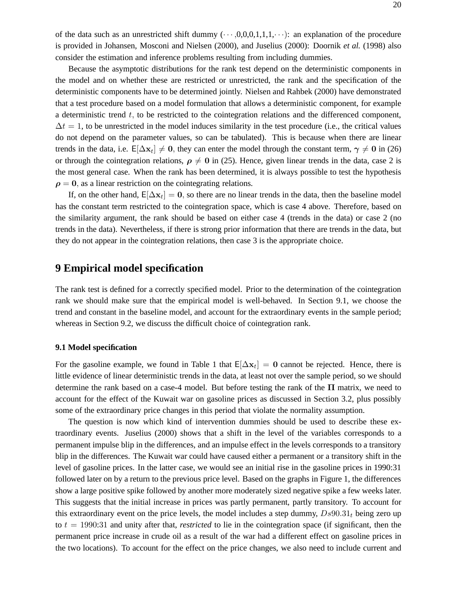of the data such as an unrestricted shift dummy  $(\cdots,0,0,0,1,1,1,\cdots)$ : an explanation of the procedure is provided in Johansen, Mosconi and Nielsen (2000), and Juselius (2000): Doornik *et al.* (1998) also consider the estimation and inference problems resulting from including dummies.

Because the asymptotic distributions for the rank test depend on the deterministic components in the model and on whether these are restricted or unrestricted, the rank and the specification of the deterministic components have to be determined jointly. Nielsen and Rahbek (2000) have demonstrated that a test procedure based on a model formulation that allows a deterministic component, for example a deterministic trend  $t$ , to be restricted to the cointegration relations and the differenced component,  $\Delta t = 1$ , to be unrestricted in the model induces similarity in the test procedure (i.e., the critical values do not depend on the parameter values, so can be tabulated). This is because when there are linear trends in the data, i.e.  $E[\Delta x_t] \neq 0$ , they can enter the model through the constant term,  $\gamma \neq 0$  in (26) or through the cointegration relations,  $\rho \neq 0$  in (25). Hence, given linear trends in the data, case 2 is the most general case. When the rank has been determined, it is always possible to test the hypothesis  $\rho = 0$ , as a linear restriction on the cointegrating relations.

If, on the other hand,  $E[\Delta x_t] = 0$ , so there are no linear trends in the data, then the baseline model has the constant term restricted to the cointegration space, which is case 4 above. Therefore, based on the similarity argument, the rank should be based on either case 4 (trends in the data) or case 2 (no trends in the data). Nevertheless, if there is strong prior information that there are trends in the data, but they do not appear in the cointegration relations, then case 3 is the appropriate choice.

# **9 Empirical model specification**

The rank test is defined for a correctly specified model. Prior to the determination of the cointegration rank we should make sure that the empirical model is well-behaved. In Section 9.1, we choose the trend and constant in the baseline model, and account for the extraordinary events in the sample period; whereas in Section 9.2, we discuss the difficult choice of cointegration rank.

### **9.1 Model specification**

For the gasoline example, we found in Table 1 that  $E[\Delta x_t] = 0$  cannot be rejected. Hence, there is little evidence of linear deterministic trends in the data, at least not over the sample period, so we should determine the rank based on a case-4 model. But before testing the rank of the **Π** matrix, we need to account for the effect of the Kuwait war on gasoline prices as discussed in Section 3.2, plus possibly some of the extraordinary price changes in this period that violate the normality assumption.

The question is now which kind of intervention dummies should be used to describe these extraordinary events. Juselius (2000) shows that a shift in the level of the variables corresponds to a permanent impulse blip in the differences, and an impulse effect in the levels corresponds to a transitory blip in the differences. The Kuwait war could have caused either a permanent or a transitory shift in the level of gasoline prices. In the latter case, we would see an initial rise in the gasoline prices in 1990:31 followed later on by a return to the previous price level. Based on the graphs in Figure 1, the differences show a large positive spike followed by another more moderately sized negative spike a few weeks later. This suggests that the initial increase in prices was partly permanent, partly transitory. To account for this extraordinary event on the price levels, the model includes a step dummy,  $Ds90.31<sub>t</sub>$  being zero up to  $t = 1990:31$  and unity after that, *restricted* to lie in the cointegration space (if significant, then the permanent price increase in crude oil as a result of the war had a different effect on gasoline prices in the two locations). To account for the effect on the price changes, we also need to include current and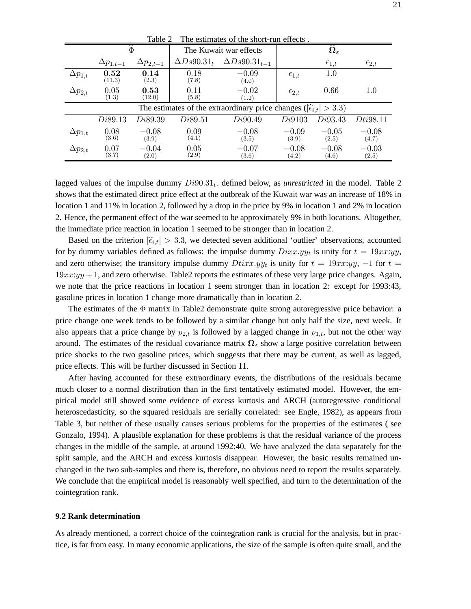| 140K2<br>The estimates of the short-run chects.                                     |                    |                    |                    |                        |                                 |                  |                  |  |
|-------------------------------------------------------------------------------------|--------------------|--------------------|--------------------|------------------------|---------------------------------|------------------|------------------|--|
|                                                                                     | $\overline{\Phi}$  |                    |                    | The Kuwait war effects | $\mathbf{\Omega}_{\varepsilon}$ |                  |                  |  |
|                                                                                     | $\Delta p_{1,t-1}$ | $\Delta p_{2,t-1}$ | $\Delta Ds90.31_t$ | $\Delta Ds90.31_{t-1}$ |                                 | $\epsilon_{1,t}$ | $\epsilon_{2,t}$ |  |
| $\Delta p_{1,t}$                                                                    | 0.52<br>(11.3)     | 0.14<br>(2.3)      | 0.18<br>(7.8)      | $-0.09$<br>(4.0)       | $\epsilon_{1,t}$                | 1.0              |                  |  |
| $\Delta p_{2,t}$                                                                    | 0.05<br>(1.3)      | 0.53<br>(12.0)     | 0.11<br>(5.8)      | $-0.02$<br>(1.2)       | $\epsilon_{2,t}$                | 0.66             | 1.0              |  |
| The estimates of the extraordinary price changes ( $ \hat{\epsilon}_{i,t}  > 3.3$ ) |                    |                    |                    |                        |                                 |                  |                  |  |
|                                                                                     | Di89.13            | Di89.39            | Di 89.51           | Di90.49                | Di9103                          | Di93.43          | Dti98.11         |  |
| $\Delta p_{1,t}$                                                                    | 0.08<br>(3.6)      | $-0.08$<br>(3.9)   | 0.09<br>(4.1)      | $-0.08$<br>(3.5)       | $-0.09$<br>(3.9)                | $-0.05$<br>(2.5) | $-0.08$<br>(4.7) |  |
| $\Delta p_{2,t}$                                                                    | 0.07<br>(3.7)      | $-0.04$<br>(2.0)   | 0.05<br>(2.9)      | $-0.07$<br>(3.6)       | $-0.08$<br>(4.2)                | $-0.08$<br>(4.6) | $-0.03$<br>(2.5) |  |

Table 2 The estimates of the short-run effects

lagged values of the impulse dummy  $Di90.31<sub>t</sub>$ , defined below, as *unrestricted* in the model. Table 2 shows that the estimated direct price effect at the outbreak of the Kuwait war was an increase of 18% in location 1 and 11% in location 2, followed by a drop in the price by 9% in location 1 and 2% in location 2. Hence, the permanent effect of the war seemed to be approximately 9% in both locations. Altogether, the immediate price reaction in location 1 seemed to be stronger than in location 2.

Based on the criterion  $|\hat{\epsilon}_{i,t}| > 3.3$ , we detected seven additional 'outlier' observations, accounted for by dummy variables defined as follows: the impulse dummy  $Dixx.yy_t$  is unity for  $t = 19xx:yy$ , and zero otherwise; the transitory impulse dummy  $Dtixx.yy_t$  is unity for  $t = 19xx:yy, -1$  for  $t =$  $19xx:yy + 1$ , and zero otherwise. Table2 reports the estimates of these very large price changes. Again, we note that the price reactions in location 1 seem stronger than in location 2: except for 1993:43, gasoline prices in location 1 change more dramatically than in location 2.

The estimates of the  $\Phi$  matrix in Table2 demonstrate quite strong autoregressive price behavior: a price change one week tends to be followed by a similar change but only half the size, next week. It also appears that a price change by  $p_{2,t}$  is followed by a lagged change in  $p_{1,t}$ , but not the other way around. The estimates of the residual covariance matrix  $\Omega_{\epsilon}$  show a large positive correlation between price shocks to the two gasoline prices, which suggests that there may be current, as well as lagged, price effects. This will be further discussed in Section 11.

After having accounted for these extraordinary events, the distributions of the residuals became much closer to a normal distribution than in the first tentatively estimated model. However, the empirical model still showed some evidence of excess kurtosis and ARCH (autoregressive conditional heteroscedasticity, so the squared residuals are serially correlated: see Engle, 1982), as appears from Table 3, but neither of these usually causes serious problems for the properties of the estimates ( see Gonzalo, 1994). A plausible explanation for these problems is that the residual variance of the process changes in the middle of the sample, at around 1992:40. We have analyzed the data separately for the split sample, and the ARCH and excess kurtosis disappear. However, the basic results remained unchanged in the two sub-samples and there is, therefore, no obvious need to report the results separately. We conclude that the empirical model is reasonably well specified, and turn to the determination of the cointegration rank.

#### **9.2 Rank determination**

As already mentioned, a correct choice of the cointegration rank is crucial for the analysis, but in practice, is far from easy. In many economic applications, the size of the sample is often quite small, and the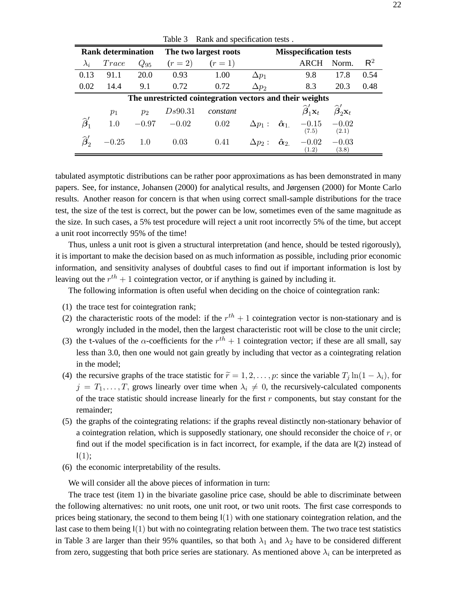| <b>Rank determination</b>                                |         | The two largest roots |         |          | <b>Misspecification tests</b> |                                  |                                                |                                                |                |
|----------------------------------------------------------|---------|-----------------------|---------|----------|-------------------------------|----------------------------------|------------------------------------------------|------------------------------------------------|----------------|
| $\lambda_i$                                              | Trace   | $Q_{95}$              | $(r=2)$ | $(r=1)$  |                               |                                  | ARCH                                           | Norm.                                          | $\mathsf{R}^2$ |
| 0.13                                                     | 91.1    | 20.0                  | 0.93    | 1.00     | $\Delta p_1$                  |                                  | 9.8                                            | 17.8                                           | 0.54           |
| 0.02                                                     | 14.4    | 9.1                   | 0.72    | 0.72     | $\Delta p_2$                  |                                  | 8.3                                            | 20.3                                           | 0.48           |
| The unrestricted cointegration vectors and their weights |         |                       |         |          |                               |                                  |                                                |                                                |                |
|                                                          | $p_1$   | $p_2$                 | Ds90.31 | constant |                               |                                  | $\widehat{\boldsymbol{\beta}}'_1 \mathbf{x}_t$ | $\widehat{\boldsymbol{\beta}}_2' \mathbf{x}_t$ |                |
| $\widehat{\boldsymbol{\beta}}'_1$                        | 1.0     | $-0.97$               | $-0.02$ | 0.02     | $\Delta p_1$ :                | $\boldsymbol{\hat{\alpha}}_{1.}$ | $-0.15$<br>(7.5)                               | $-0.02$<br>(2.1)                               |                |
|                                                          | $-0.25$ | 1.0                   | 0.03    | 0.41     | $\Delta p_2:$                 | $\tilde{\alpha}_2$               | $-0.02$<br>(1.2)                               | $-0.03$<br>(3.8)                               |                |

Table 3 Rank and specification tests.

tabulated asymptotic distributions can be rather poor approximations as has been demonstrated in many papers. See, for instance, Johansen (2000) for analytical results, and Jørgensen (2000) for Monte Carlo results. Another reason for concern is that when using correct small-sample distributions for the trace test, the size of the test is correct, but the power can be low, sometimes even of the same magnitude as the size. In such cases, a 5% test procedure will reject a unit root incorrectly 5% of the time, but accept a unit root incorrectly 95% of the time!

Thus, unless a unit root is given a structural interpretation (and hence, should be tested rigorously), it is important to make the decision based on as much information as possible, including prior economic information, and sensitivity analyses of doubtful cases to find out if important information is lost by leaving out the  $r^{th} + 1$  cointegration vector, or if anything is gained by including it.

The following information is often useful when deciding on the choice of cointegration rank:

- (1) the trace test for cointegration rank;
- (2) the characteristic roots of the model: if the  $r^{th} + 1$  cointegration vector is non-stationary and is wrongly included in the model, then the largest characteristic root will be close to the unit circle;
- (3) the t-values of the  $\alpha$ -coefficients for the  $r^{th} + 1$  cointegration vector; if these are all small, say less than 3.0, then one would not gain greatly by including that vector as a cointegrating relation in the model;
- (4) the recursive graphs of the trace statistic for  $\tilde{r} = 1, 2, \ldots, p$ : since the variable  $T_i \ln(1 \lambda_i)$ , for  $j = T_1, \ldots, T$ , grows linearly over time when  $\lambda_i \neq 0$ , the recursively-calculated components of the trace statistic should increase linearly for the first  $r$  components, but stay constant for the remainder;
- (5) the graphs of the cointegrating relations: if the graphs reveal distinctly non-stationary behavior of a cointegration relation, which is supposedly stationary, one should reconsider the choice of  $r$ , or find out if the model specification is in fact incorrect, for example, if the data are  $I(2)$  instead of  $I(1);$
- (6) the economic interpretability of the results.

We will consider all the above pieces of information in turn:

The trace test (item 1) in the bivariate gasoline price case, should be able to discriminate between the following alternatives: no unit roots, one unit root, or two unit roots. The first case corresponds to prices being stationary, the second to them being  $I(1)$  with one stationary cointegration relation, and the last case to them being  $I(1)$  but with no cointegrating relation between them. The two trace test statistics in Table 3 are larger than their 95% quantiles, so that both  $\lambda_1$  and  $\lambda_2$  have to be considered different from zero, suggesting that both price series are stationary. As mentioned above  $\lambda_i$  can be interpreted as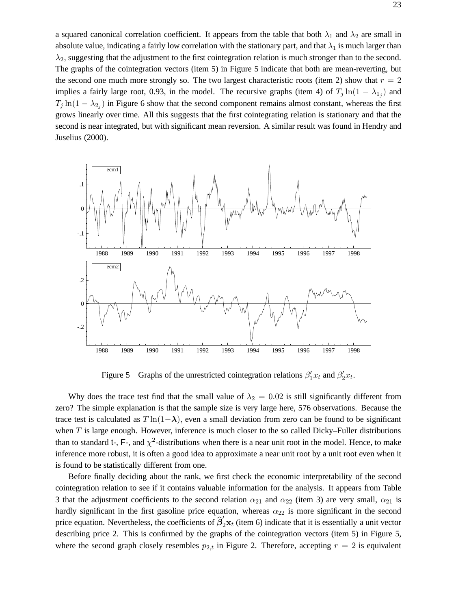a squared canonical correlation coefficient. It appears from the table that both  $\lambda_1$  and  $\lambda_2$  are small in absolute value, indicating a fairly low correlation with the stationary part, and that  $\lambda_1$  is much larger than  $\lambda_2$ , suggesting that the adjustment to the first cointegration relation is much stronger than to the second. The graphs of the cointegration vectors (item 5) in Figure 5 indicate that both are mean-reverting, but the second one much more strongly so. The two largest characteristic roots (item 2) show that  $r = 2$ implies a fairly large root, 0.93, in the model. The recursive graphs (item 4) of  $T_j \ln(1 - \lambda_{1,j})$  and  $T_j \ln(1 - \lambda_{2_j})$  in Figure 6 show that the second component remains almost constant, whereas the first grows linearly over time. All this suggests that the first cointegrating relation is stationary and that the second is near integrated, but with significant mean reversion. A similar result was found in Hendry and Juselius (2000).



Figure 5 Graphs of the unrestricted cointegration relations  $\beta_1^{\prime} x_t$  and  $\beta_2^{\prime} x_t$ .

Why does the trace test find that the small value of  $\lambda_2 = 0.02$  is still significantly different from zero? The simple explanation is that the sample size is very large here, 576 observations. Because the trace test is calculated as  $T \ln(1-\lambda)$ , even a small deviation from zero can be found to be significant when  $T$  is large enough. However, inference is much closer to the so called Dicky–Fuller distributions than to standard t-, F-, and  $\chi^2$ -distributions when there is a near unit root in the model. Hence, to make inference more robust, it is often a good idea to approximate a near unit root by a unit root even when it is found to be statistically different from one.

Before finally deciding about the rank, we first check the economic interpretability of the second cointegration relation to see if it contains valuable information for the analysis. It appears from Table 3 that the adjustment coefficients to the second relation  $\alpha_{21}$  and  $\alpha_{22}$  (item 3) are very small,  $\alpha_{21}$  is hardly significant in the first gasoline price equation, whereas  $\alpha_{22}$  is more significant in the second price equation. Nevertheless, the coefficients of  $\hat{\beta}'_2\mathbf{x}_t$  (item 6) indicate that it is essentially a unit vector describing price 2. This is confirmed by the graphs of the cointegration vectors (item 5) in Figure 5, where the second graph closely resembles  $p_{2,t}$  in Figure 2. Therefore, accepting  $r = 2$  is equivalent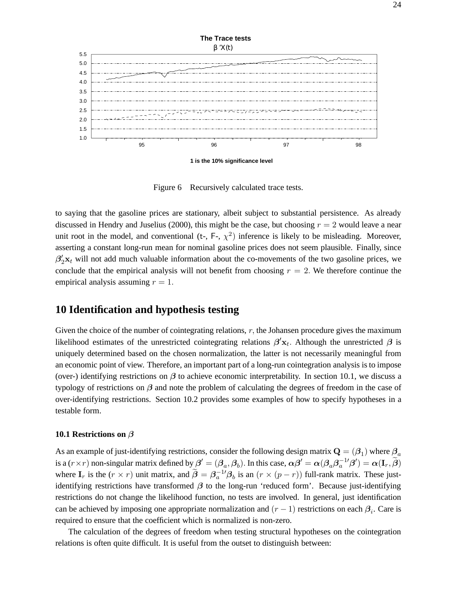

**1 is the 10% significance level**

Figure 6 Recursively calculated trace tests.

to saying that the gasoline prices are stationary, albeit subject to substantial persistence. As already discussed in Hendry and Juselius (2000), this might be the case, but choosing  $r = 2$  would leave a near unit root in the model, and conventional (t-, F-,  $\chi^2$ ) inference is likely to be misleading. Moreover, asserting a constant long-run mean for nominal gasoline prices does not seem plausible. Finally, since  $\beta_2'$ **x**<sub>t</sub> will not add much valuable information about the co-movements of the two gasoline prices, we conclude that the empirical analysis will not benefit from choosing  $r = 2$ . We therefore continue the empirical analysis assuming  $r = 1$ .

### **10 Identification and hypothesis testing**

Given the choice of the number of cointegrating relations,  $r$ , the Johansen procedure gives the maximum likelihood estimates of the unrestricted cointegrating relations  $\beta'$ <sub>xt</sub>. Although the unrestricted  $\beta$  is uniquely determined based on the chosen normalization, the latter is not necessarily meaningful from an economic point of view. Therefore, an important part of a long-run cointegration analysis is to impose (over-) identifying restrictions on *β* to achieve economic interpretability. In section 10.1, we discuss a typology of restrictions on *β* and note the problem of calculating the degrees of freedom in the case of over-identifying restrictions. Section 10.2 provides some examples of how to specify hypotheses in a testable form.

#### **10.1 Restrictions on** *β*

As an example of just-identifying restrictions, consider the following design matrix  $\mathbf{Q} = (\beta_1)$  where  $\beta_a$ is a  $(r \times r)$  non-singular matrix defined by  $\beta' = (\beta_a, \beta_b)$ . In this case,  $\alpha \beta' = \alpha (\beta_a \beta_a^{-1} \beta') = \alpha (\mathbf{I}_r, \tilde{\beta})$ where  $\mathbf{I}_r$  is the  $(r \times r)$  unit matrix, and  $\tilde{\boldsymbol{\beta}} = \boldsymbol{\beta}_a^{-1} \boldsymbol{\beta}_b$  is an  $(r \times (p-r))$  full-rank matrix. These justidentifying restrictions have transformed *β* to the long-run 'reduced form'. Because just-identifying restrictions do not change the likelihood function, no tests are involved. In general, just identification can be achieved by imposing one appropriate normalization and  $(r - 1)$  restrictions on each  $\beta_i$ . Care is required to ensure that the coefficient which is normalized is non-zero.

The calculation of the degrees of freedom when testing structural hypotheses on the cointegration relations is often quite difficult. It is useful from the outset to distinguish between: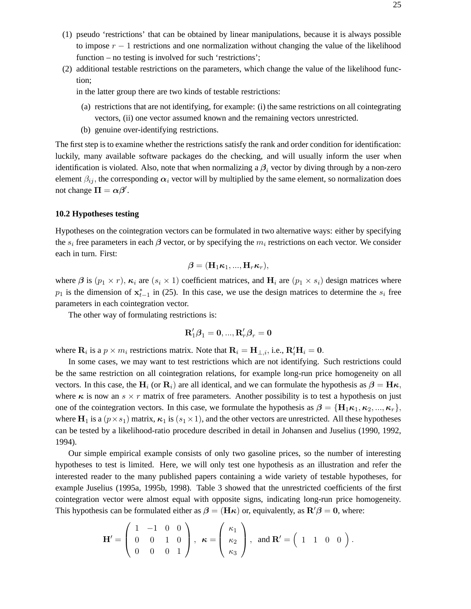- (1) pseudo 'restrictions' that can be obtained by linear manipulations, because it is always possible to impose  $r - 1$  restrictions and one normalization without changing the value of the likelihood function – no testing is involved for such 'restrictions';
- (2) additional testable restrictions on the parameters, which change the value of the likelihood function;

in the latter group there are two kinds of testable restrictions:

- (a) restrictions that are not identifying, for example: (i) the same restrictions on all cointegrating vectors, (ii) one vector assumed known and the remaining vectors unrestricted.
- (b) genuine over-identifying restrictions.

The first step is to examine whether the restrictions satisfy the rank and order condition for identification: luckily, many available software packages do the checking, and will usually inform the user when identification is violated. Also, note that when normalizing a  $\beta_i$  vector by diving through by a non-zero element  $\beta_{ij}$ , the corresponding  $\alpha_i$  vector will by multiplied by the same element, so normalization does not change  $\Pi = \alpha \beta'$ .

### **10.2 Hypotheses testing**

Hypotheses on the cointegration vectors can be formulated in two alternative ways: either by specifying the  $s_i$  free parameters in each  $\beta$  vector, or by specifying the  $m_i$  restrictions on each vector. We consider each in turn. First:

$$
\boldsymbol{\beta} = (\mathbf{H}_1 \boldsymbol{\kappa}_1, ..., \mathbf{H}_r \boldsymbol{\kappa}_r),
$$

where  $\beta$  is  $(p_1 \times r)$ ,  $\kappa_i$  are  $(s_i \times 1)$  coefficient matrices, and  $H_i$  are  $(p_1 \times s_i)$  design matrices where  $p_1$  is the dimension of  $\mathbf{x}_{t-1}^*$  in (25). In this case, we use the design matrices to determine the  $s_i$  free parameters in each cointegration vector.

The other way of formulating restrictions is:

$$
\mathbf{R}_1'\boldsymbol{\beta}_1=\mathbf{0},...,\mathbf{R}_r'\boldsymbol{\beta}_r=\mathbf{0}
$$

where  $\mathbf{R}_i$  is a  $p \times m_i$  restrictions matrix. Note that  $\mathbf{R}_i = \mathbf{H}_{\perp,i}$ , i.e.,  $\mathbf{R}'_i \mathbf{H}_i = \mathbf{0}$ .

In some cases, we may want to test restrictions which are not identifying. Such restrictions could be the same restriction on all cointegration relations, for example long-run price homogeneity on all vectors. In this case, the **H**<sub>i</sub> (or **R**<sub>i</sub>) are all identical, and we can formulate the hypothesis as  $\beta = H\kappa$ , where  $\kappa$  is now an  $s \times r$  matrix of free parameters. Another possibility is to test a hypothesis on just one of the cointegration vectors. In this case, we formulate the hypothesis as  $\beta = {\bf H}_1 \kappa_1, \kappa_2, ..., \kappa_r$ , where  $\mathbf{H}_1$  is a  $(p \times s_1)$  matrix,  $\kappa_1$  is  $(s_1 \times 1)$ , and the other vectors are unrestricted. All these hypotheses can be tested by a likelihood-ratio procedure described in detail in Johansen and Juselius (1990, 1992, 1994).

Our simple empirical example consists of only two gasoline prices, so the number of interesting hypotheses to test is limited. Here, we will only test one hypothesis as an illustration and refer the interested reader to the many published papers containing a wide variety of testable hypotheses, for example Juselius (1995a, 1995b, 1998). Table 3 showed that the unrestricted coefficients of the first cointegration vector were almost equal with opposite signs, indicating long-run price homogeneity. This hypothesis can be formulated either as  $\beta = (\mathbf{H}\boldsymbol{\kappa})$  or, equivalently, as  $\mathbf{R}'\boldsymbol{\beta} = \mathbf{0}$ , where:

$$
\mathbf{H}' = \left( \begin{array}{ccc} 1 & -1 & 0 & 0 \\ 0 & 0 & 1 & 0 \\ 0 & 0 & 0 & 1 \end{array} \right), \ \ \kappa = \left( \begin{array}{c} \kappa_1 \\ \kappa_2 \\ \kappa_3 \end{array} \right), \ \text{ and } \mathbf{R}' = \left( \begin{array}{ccc} 1 & 1 & 0 & 0 \end{array} \right).
$$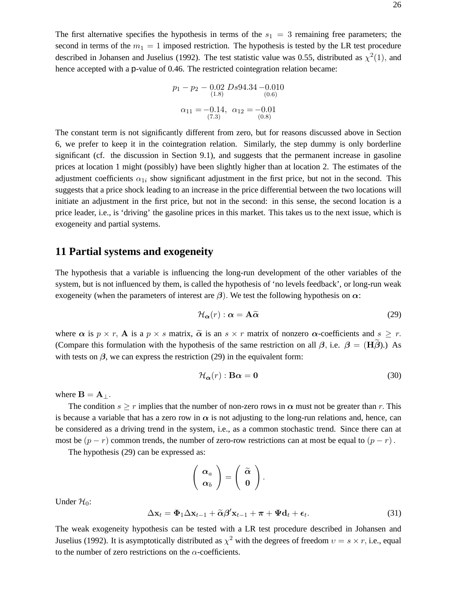The first alternative specifies the hypothesis in terms of the  $s_1 = 3$  remaining free parameters; the second in terms of the  $m_1 = 1$  imposed restriction. The hypothesis is tested by the LR test procedure described in Johansen and Juselius (1992). The test statistic value was 0.55, distributed as  $\chi^2(1)$ , and hence accepted with a p-value of 0.46. The restricted cointegration relation became:

$$
p_1 - p_2 - 0.02 \, Ds94.34 - 0.010
$$
  
\n
$$
\alpha_{11} = -0.14, \ \alpha_{12} = -0.01
$$
  
\n(7.3) (0.8)

The constant term is not significantly different from zero, but for reasons discussed above in Section 6, we prefer to keep it in the cointegration relation. Similarly, the step dummy is only borderline significant (cf. the discussion in Section 9.1), and suggests that the permanent increase in gasoline prices at location 1 might (possibly) have been slightly higher than at location 2. The estimates of the adjustment coefficients  $\alpha_{1i}$  show significant adjustment in the first price, but not in the second. This suggests that a price shock leading to an increase in the price differential between the two locations will initiate an adjustment in the first price, but not in the second: in this sense, the second location is a price leader, i.e., is 'driving' the gasoline prices in this market. This takes us to the next issue, which is exogeneity and partial systems.

## **11 Partial systems and exogeneity**

The hypothesis that a variable is influencing the long-run development of the other variables of the system, but is not influenced by them, is called the hypothesis of 'no levels feedback', or long-run weak exogeneity (when the parameters of interest are *β*). We test the following hypothesis on *α*:

$$
\mathcal{H}_{\alpha}(r) : \alpha = \mathbf{A}\widetilde{\alpha} \tag{29}
$$

where  $\alpha$  is  $p \times r$ , **A** is a  $p \times s$  matrix,  $\tilde{\alpha}$  is an  $s \times r$  matrix of nonzero  $\alpha$ -coefficients and  $s \geq r$ . (Compare this formulation with the hypothesis of the same restriction on all  $\beta$ , i.e.  $\beta = (H\beta)$ .) As with tests on  $\beta$ , we can express the restriction (29) in the equivalent form:

$$
\mathcal{H}_{\alpha}(r) : \mathbf{B}\alpha = \mathbf{0} \tag{30}
$$

where  $\mathbf{B} = \mathbf{A}$ <sub>⊥</sub>.

The condition  $s \geq r$  implies that the number of non-zero rows in  $\alpha$  must not be greater than r. This is because a variable that has a zero row in  $\alpha$  is not adjusting to the long-run relations and, hence, can be considered as a driving trend in the system, i.e., as a common stochastic trend. Since there can at most be  $(p - r)$  common trends, the number of zero-row restrictions can at most be equal to  $(p - r)$ .

The hypothesis (29) can be expressed as:

$$
\left(\begin{array}{c} \alpha_a \\ \alpha_b \end{array}\right) = \left(\begin{array}{c} \widetilde{\alpha} \\ 0 \end{array}\right).
$$

Under  $\mathcal{H}_0$ :

$$
\Delta \mathbf{x}_t = \mathbf{\Phi}_1 \Delta \mathbf{x}_{t-1} + \widetilde{\alpha} \beta' \mathbf{x}_{t-1} + \boldsymbol{\pi} + \boldsymbol{\Psi} \mathbf{d}_t + \boldsymbol{\epsilon}_t.
$$
 (31)

The weak exogeneity hypothesis can be tested with a LR test procedure described in Johansen and Juselius (1992). It is asymptotically distributed as  $\chi^2$  with the degrees of freedom  $v = s \times r$ , i.e., equal to the number of zero restrictions on the  $\alpha$ -coefficients.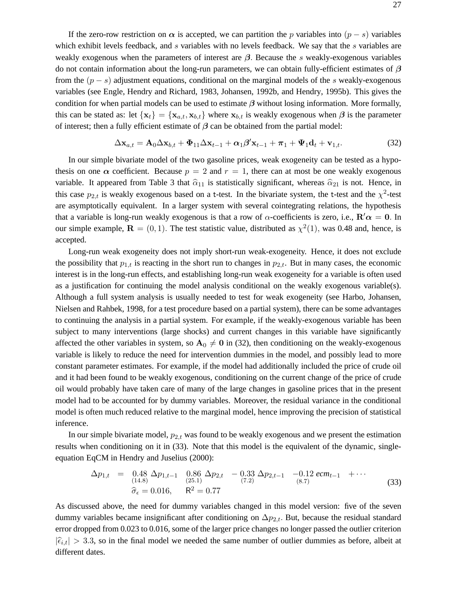If the zero-row restriction on  $\alpha$  is accepted, we can partition the p variables into  $(p - s)$  variables which exhibit levels feedback, and s variables with no levels feedback. We say that the s variables are weakly exogenous when the parameters of interest are *β*. Because the s weakly-exogenous variables do not contain information about the long-run parameters, we can obtain fully-efficient estimates of *β* from the  $(p - s)$  adjustment equations, conditional on the marginal models of the s weakly-exogenous variables (see Engle, Hendry and Richard, 1983, Johansen, 1992b, and Hendry, 1995b). This gives the condition for when partial models can be used to estimate *β* without losing information. More formally, this can be stated as: let  $\{x_t\} = \{x_{a,t}, x_{b,t}\}$  where  $x_{b,t}$  is weakly exogenous when  $\beta$  is the parameter of interest; then a fully efficient estimate of *β* can be obtained from the partial model:

$$
\Delta \mathbf{x}_{a,t} = \mathbf{A}_0 \Delta \mathbf{x}_{b,t} + \mathbf{\Phi}_{11} \Delta \mathbf{x}_{t-1} + \alpha_1 \boldsymbol{\beta}' \mathbf{x}_{t-1} + \boldsymbol{\pi}_1 + \mathbf{\Psi}_1 \mathbf{d}_t + \mathbf{v}_{1,t}.
$$
 (32)

In our simple bivariate model of the two gasoline prices, weak exogeneity can be tested as a hypothesis on one  $\alpha$  coefficient. Because  $p = 2$  and  $r = 1$ , there can at most be one weakly exogenous variable. It appeared from Table 3 that  $\hat{\alpha}_{11}$  is statistically significant, whereas  $\hat{\alpha}_{21}$  is not. Hence, in this case  $p_{2,t}$  is weakly exogenous based on a t-test. In the bivariate system, the t-test and the  $\chi^2$ -test are asymptotically equivalent. In a larger system with several cointegrating relations, the hypothesis that a variable is long-run weakly exogenous is that a row of  $\alpha$ -coefficients is zero, i.e.,  $\mathbf{R}'\alpha = 0$ . In our simple example,  $\mathbf{R} = (0, 1)$ . The test statistic value, distributed as  $\chi^2(1)$ , was 0.48 and, hence, is accepted.

Long-run weak exogeneity does not imply short-run weak-exogeneity. Hence, it does not exclude the possibility that  $p_{1,t}$  is reacting in the short run to changes in  $p_{2,t}$ . But in many cases, the economic interest is in the long-run effects, and establishing long-run weak exogeneity for a variable is often used as a justification for continuing the model analysis conditional on the weakly exogenous variable(s). Although a full system analysis is usually needed to test for weak exogeneity (see Harbo, Johansen, Nielsen and Rahbek, 1998, for a test procedure based on a partial system), there can be some advantages to continuing the analysis in a partial system. For example, if the weakly-exogenous variable has been subject to many interventions (large shocks) and current changes in this variable have significantly affected the other variables in system, so  $A_0 \neq 0$  in (32), then conditioning on the weakly-exogenous variable is likely to reduce the need for intervention dummies in the model, and possibly lead to more constant parameter estimates. For example, if the model had additionally included the price of crude oil and it had been found to be weakly exogenous, conditioning on the current change of the price of crude oil would probably have taken care of many of the large changes in gasoline prices that in the present model had to be accounted for by dummy variables. Moreover, the residual variance in the conditional model is often much reduced relative to the marginal model, hence improving the precision of statistical inference.

In our simple bivariate model,  $p_{2,t}$  was found to be weakly exogenous and we present the estimation results when conditioning on it in (33). Note that this model is the equivalent of the dynamic, singleequation EqCM in Hendry and Juselius (2000):

$$
\Delta p_{1,t} = 0.48 \Delta p_{1,t-1} \quad 0.86 \Delta p_{2,t} - 0.33 \Delta p_{2,t-1} - 0.12 \text{ ecm}_{t-1} + \cdots
$$
  
\n(33)  
\n
$$
\hat{\sigma}_{\epsilon} = 0.016, \quad R^2 = 0.77
$$

As discussed above, the need for dummy variables changed in this model version: five of the seven dummy variables became insignificant after conditioning on  $\Delta p_{2,t}$ . But, because the residual standard error dropped from 0.023 to 0.016, some of the larger price changes no longer passed the outlier criterion  $|\hat{\epsilon}_{i,t}| > 3.3$ , so in the final model we needed the same number of outlier dummies as before, albeit at different dates.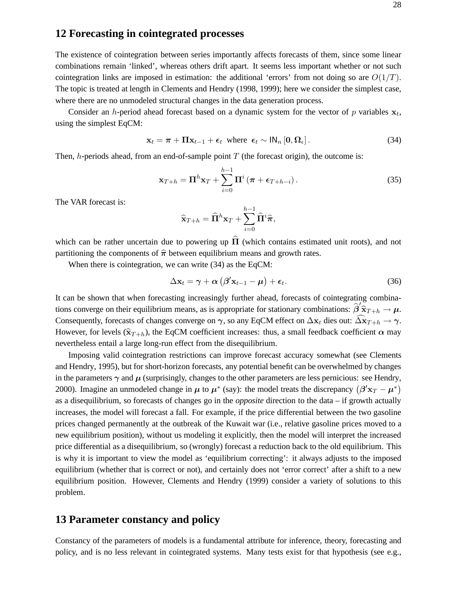### **12 Forecasting in cointegrated processes**

The existence of cointegration between series importantly affects forecasts of them, since some linear combinations remain 'linked', whereas others drift apart. It seems less important whether or not such cointegration links are imposed in estimation: the additional 'errors' from not doing so are  $O(1/T)$ . The topic is treated at length in Clements and Hendry (1998, 1999); here we consider the simplest case, where there are no unmodeled structural changes in the data generation process.

Consider an h-period ahead forecast based on a dynamic system for the vector of p variables  $x_t$ , using the simplest EqCM:

$$
\mathbf{x}_{t} = \boldsymbol{\pi} + \boldsymbol{\Pi} \mathbf{x}_{t-1} + \boldsymbol{\epsilon}_{t} \text{ where } \boldsymbol{\epsilon}_{t} \sim \mathsf{IN}_{n} \left[ \mathbf{0}, \boldsymbol{\Omega}_{\epsilon} \right]. \tag{34}
$$

Then,  $h$ -periods ahead, from an end-of-sample point  $T$  (the forecast origin), the outcome is:

$$
\mathbf{x}_{T+h} = \mathbf{\Pi}^h \mathbf{x}_T + \sum_{i=0}^{h-1} \mathbf{\Pi}^i \left( \boldsymbol{\pi} + \boldsymbol{\epsilon}_{T+h-i} \right). \tag{35}
$$

The VAR forecast is:

$$
\widehat{\mathbf{x}}_{T+h} = \widehat{\mathbf{\Pi}}^h \mathbf{x}_T + \sum_{i=0}^{h-1} \widehat{\mathbf{\Pi}}^i \widehat{\boldsymbol{\pi}},
$$

which can be rather uncertain due to powering up  $\hat{\Pi}$  (which contains estimated unit roots), and not partitioning the components of  $\hat{\pi}$  between equilibrium means and growth rates.

When there is cointegration, we can write (34) as the EqCM:

$$
\Delta \mathbf{x}_t = \gamma + \alpha \left( \beta' \mathbf{x}_{t-1} - \mu \right) + \epsilon_t. \tag{36}
$$

It can be shown that when forecasting increasingly further ahead, forecasts of cointegrating combinations converge on their equilibrium means, as is appropriate for stationary combinations:  $\hat{\beta}'\hat{\mathbf{x}}_{T+h} \to \mu$ .<br>Consequently, forecasts of changes converge on  $\mathbf{x}_k$  as any EqCM effect on  $\Delta x$ , disc out,  $\widehat{\Delta x}$ Consequently, forecasts of changes converge on  $\gamma$ , so any EqCM effect on  $\Delta \mathbf{x}_t$  dies out:  $\widehat{\Delta \mathbf{x}}_{T+h} \to \gamma$ . However, for levels  $(\hat{\mathbf{x}}_{T+h})$ , the EqCM coefficient increases: thus, a small feedback coefficient  $\alpha$  may nevertheless entail a large long-run effect from the disequilibrium.

Imposing valid cointegration restrictions can improve forecast accuracy somewhat (see Clements and Hendry, 1995), but for short-horizon forecasts, any potential benefit can be overwhelmed by changes in the parameters  $\gamma$  and  $\mu$  (surprisingly, changes to the other parameters are less pernicious: see Hendry, 2000). Imagine an unmodeled change in  $\mu$  to  $\mu^*$  (say): the model treats the discrepancy  $(\beta' x_T - \mu^*)$ as a disequilibrium, so forecasts of changes go in the *opposite* direction to the data – if growth actually increases, the model will forecast a fall. For example, if the price differential between the two gasoline prices changed permanently at the outbreak of the Kuwait war (i.e., relative gasoline prices moved to a new equilibrium position), without us modeling it explicitly, then the model will interpret the increased price differential as a disequilibrium, so (wrongly) forecast a reduction back to the old equilibrium. This is why it is important to view the model as 'equilibrium correcting': it always adjusts to the imposed equilibrium (whether that is correct or not), and certainly does not 'error correct' after a shift to a new equilibrium position. However, Clements and Hendry (1999) consider a variety of solutions to this problem.

### **13 Parameter constancy and policy**

Constancy of the parameters of models is a fundamental attribute for inference, theory, forecasting and policy, and is no less relevant in cointegrated systems. Many tests exist for that hypothesis (see e.g.,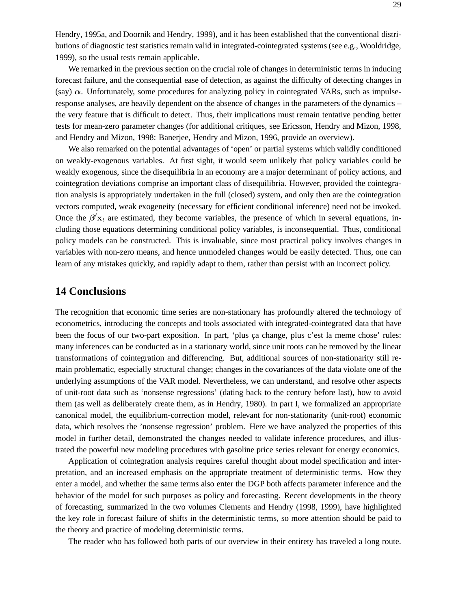Hendry, 1995a, and Doornik and Hendry, 1999), and it has been established that the conventional distributions of diagnostic test statistics remain valid in integrated-cointegrated systems (see e.g., Wooldridge, 1999), so the usual tests remain applicable.

We remarked in the previous section on the crucial role of changes in deterministic terms in inducing forecast failure, and the consequential ease of detection, as against the difficulty of detecting changes in (say)  $\alpha$ . Unfortunately, some procedures for analyzing policy in cointegrated VARs, such as impulseresponse analyses, are heavily dependent on the absence of changes in the parameters of the dynamics – the very feature that is difficult to detect. Thus, their implications must remain tentative pending better tests for mean-zero parameter changes (for additional critiques, see Ericsson, Hendry and Mizon, 1998, and Hendry and Mizon, 1998: Banerjee, Hendry and Mizon, 1996, provide an overview).

We also remarked on the potential advantages of 'open' or partial systems which validly conditioned on weakly-exogenous variables. At first sight, it would seem unlikely that policy variables could be weakly exogenous, since the disequilibria in an economy are a major determinant of policy actions, and cointegration deviations comprise an important class of disequilibria. However, provided the cointegration analysis is appropriately undertaken in the full (closed) system, and only then are the cointegration vectors computed, weak exogeneity (necessary for efficient conditional inference) need not be invoked. Once the  $\beta'$ **x**<sub>t</sub> are estimated, they become variables, the presence of which in several equations, including those equations determining conditional policy variables, is inconsequential. Thus, conditional policy models can be constructed. This is invaluable, since most practical policy involves changes in variables with non-zero means, and hence unmodeled changes would be easily detected. Thus, one can learn of any mistakes quickly, and rapidly adapt to them, rather than persist with an incorrect policy.

### **14 Conclusions**

The recognition that economic time series are non-stationary has profoundly altered the technology of econometrics, introducing the concepts and tools associated with integrated-cointegrated data that have been the focus of our two-part exposition. In part, 'plus ca change, plus c'est la meme chose' rules: many inferences can be conducted as in a stationary world, since unit roots can be removed by the linear transformations of cointegration and differencing. But, additional sources of non-stationarity still remain problematic, especially structural change; changes in the covariances of the data violate one of the underlying assumptions of the VAR model. Nevertheless, we can understand, and resolve other aspects of unit-root data such as 'nonsense regressions' (dating back to the century before last), how to avoid them (as well as deliberately create them, as in Hendry, 1980). In part I, we formalized an appropriate canonical model, the equilibrium-correction model, relevant for non-stationarity (unit-root) economic data, which resolves the 'nonsense regression' problem. Here we have analyzed the properties of this model in further detail, demonstrated the changes needed to validate inference procedures, and illustrated the powerful new modeling procedures with gasoline price series relevant for energy economics.

Application of cointegration analysis requires careful thought about model specification and interpretation, and an increased emphasis on the appropriate treatment of deterministic terms. How they enter a model, and whether the same terms also enter the DGP both affects parameter inference and the behavior of the model for such purposes as policy and forecasting. Recent developments in the theory of forecasting, summarized in the two volumes Clements and Hendry (1998, 1999), have highlighted the key role in forecast failure of shifts in the deterministic terms, so more attention should be paid to the theory and practice of modeling deterministic terms.

The reader who has followed both parts of our overview in their entirety has traveled a long route.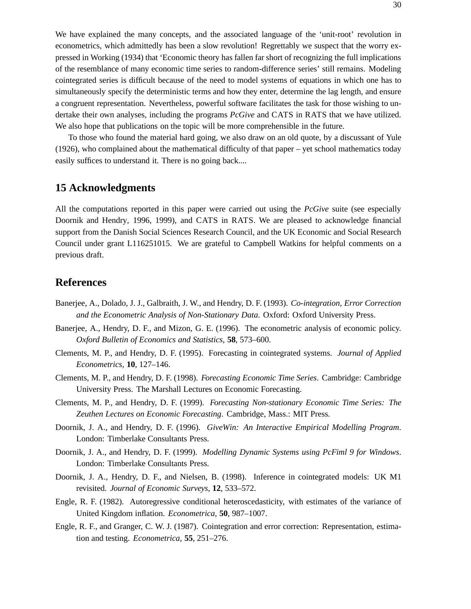We have explained the many concepts, and the associated language of the 'unit-root' revolution in econometrics, which admittedly has been a slow revolution! Regrettably we suspect that the worry expressed in Working (1934) that 'Economic theory has fallen far short of recognizing the full implications of the resemblance of many economic time series to random-difference series' still remains. Modeling cointegrated series is difficult because of the need to model systems of equations in which one has to simultaneously specify the deterministic terms and how they enter, determine the lag length, and ensure a congruent representation. Nevertheless, powerful software facilitates the task for those wishing to undertake their own analyses, including the programs *PcGive* and CATS in RATS that we have utilized. We also hope that publications on the topic will be more comprehensible in the future.

To those who found the material hard going, we also draw on an old quote, by a discussant of Yule (1926), who complained about the mathematical difficulty of that paper – yet school mathematics today easily suffices to understand it. There is no going back....

# **15 Acknowledgments**

All the computations reported in this paper were carried out using the *PcGive* suite (see especially Doornik and Hendry, 1996, 1999), and CATS in RATS. We are pleased to acknowledge financial support from the Danish Social Sciences Research Council, and the UK Economic and Social Research Council under grant L116251015. We are grateful to Campbell Watkins for helpful comments on a previous draft.

# **References**

- Banerjee, A., Dolado, J. J., Galbraith, J. W., and Hendry, D. F. (1993). *Co-integration, Error Correction and the Econometric Analysis of Non-Stationary Data*. Oxford: Oxford University Press.
- Banerjee, A., Hendry, D. F., and Mizon, G. E. (1996). The econometric analysis of economic policy. *Oxford Bulletin of Economics and Statistics*, **58**, 573–600.
- Clements, M. P., and Hendry, D. F. (1995). Forecasting in cointegrated systems. *Journal of Applied Econometrics*, **10**, 127–146.
- Clements, M. P., and Hendry, D. F. (1998). *Forecasting Economic Time Series*. Cambridge: Cambridge University Press. The Marshall Lectures on Economic Forecasting.
- Clements, M. P., and Hendry, D. F. (1999). *Forecasting Non-stationary Economic Time Series: The Zeuthen Lectures on Economic Forecasting*. Cambridge, Mass.: MIT Press.
- Doornik, J. A., and Hendry, D. F. (1996). *GiveWin: An Interactive Empirical Modelling Program*. London: Timberlake Consultants Press.
- Doornik, J. A., and Hendry, D. F. (1999). *Modelling Dynamic Systems using PcFiml 9 for Windows*. London: Timberlake Consultants Press.
- Doornik, J. A., Hendry, D. F., and Nielsen, B. (1998). Inference in cointegrated models: UK M1 revisited. *Journal of Economic Surveys*, **12**, 533–572.
- Engle, R. F. (1982). Autoregressive conditional heteroscedasticity, with estimates of the variance of United Kingdom inflation. *Econometrica*, **50**, 987–1007.
- Engle, R. F., and Granger, C. W. J. (1987). Cointegration and error correction: Representation, estimation and testing. *Econometrica*, **55**, 251–276.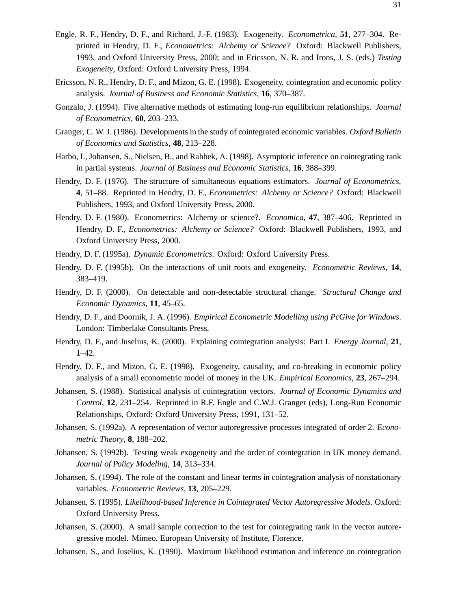- Engle, R. F., Hendry, D. F., and Richard, J.-F. (1983). Exogeneity. *Econometrica*, **51**, 277–304. Reprinted in Hendry, D. F., *Econometrics: Alchemy or Science?* Oxford: Blackwell Publishers, 1993, and Oxford University Press, 2000; and in Ericsson, N. R. and Irons, J. S. (eds.) *Testing Exogeneity*, Oxford: Oxford University Press, 1994.
- Ericsson, N. R., Hendry, D. F., and Mizon, G. E. (1998). Exogeneity, cointegration and economic policy analysis. *Journal of Business and Economic Statistics*, **16**, 370–387.
- Gonzalo, J. (1994). Five alternative methods of estimating long-run equilibrium relationships. *Journal of Econometrics*, **60**, 203–233.
- Granger, C. W. J. (1986). Developments in the study of cointegrated economic variables. *Oxford Bulletin of Economics and Statistics*, **48**, 213–228.
- Harbo, I., Johansen, S., Nielsen, B., and Rahbek, A. (1998). Asymptotic inference on cointegrating rank in partial systems. *Journal of Business and Economic Statistics*, **16**, 388–399.
- Hendry, D. F. (1976). The structure of simultaneous equations estimators. *Journal of Econometrics*, **4**, 51–88. Reprinted in Hendry, D. F., *Econometrics: Alchemy or Science?* Oxford: Blackwell Publishers, 1993, and Oxford University Press, 2000.
- Hendry, D. F. (1980). Econometrics: Alchemy or science?. *Economica*, **47**, 387–406. Reprinted in Hendry, D. F., *Econometrics: Alchemy or Science?* Oxford: Blackwell Publishers, 1993, and Oxford University Press, 2000.
- Hendry, D. F. (1995a). *Dynamic Econometrics*. Oxford: Oxford University Press.
- Hendry, D. F. (1995b). On the interactions of unit roots and exogeneity. *Econometric Reviews*, **14**, 383–419.
- Hendry, D. F. (2000). On detectable and non-detectable structural change. *Structural Change and Economic Dynamics*, **11**, 45–65.
- Hendry, D. F., and Doornik, J. A. (1996). *Empirical Econometric Modelling using PcGive for Windows*. London: Timberlake Consultants Press.
- Hendry, D. F., and Juselius, K. (2000). Explaining cointegration analysis: Part I. *Energy Journal*, **21**, 1–42.
- Hendry, D. F., and Mizon, G. E. (1998). Exogeneity, causality, and co-breaking in economic policy analysis of a small econometric model of money in the UK. *Empirical Economics*, **23**, 267–294.
- Johansen, S. (1988). Statistical analysis of cointegration vectors. *Journal of Economic Dynamics and Control*, **12**, 231–254. Reprinted in R.F. Engle and C.W.J. Granger (eds), Long-Run Economic Relationships, Oxford: Oxford University Press, 1991, 131–52.
- Johansen, S. (1992a). A representation of vector autoregressive processes integrated of order 2. *Econometric Theory*, **8**, 188–202.
- Johansen, S. (1992b). Testing weak exogeneity and the order of cointegration in UK money demand. *Journal of Policy Modeling*, **14**, 313–334.
- Johansen, S. (1994). The role of the constant and linear terms in cointegration analysis of nonstationary variables. *Econometric Reviews*, **13**, 205–229.
- Johansen, S. (1995). *Likelihood-based Inference in Cointegrated Vector Autoregressive Models*. Oxford: Oxford University Press.
- Johansen, S. (2000). A small sample correction to the test for cointegrating rank in the vector autoregressive model. Mimeo, European University of Institute, Florence.
- Johansen, S., and Juselius, K. (1990). Maximum likelihood estimation and inference on cointegration